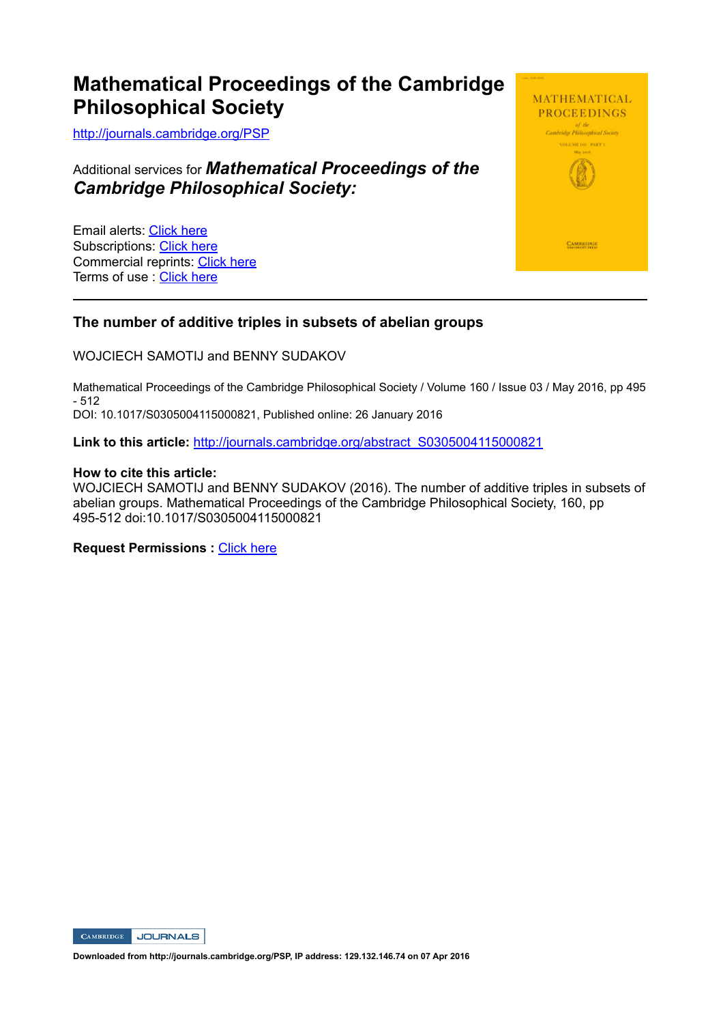# **Mathematical Proceedings of the Cambridge Philosophical Society**

http://journals.cambridge.org/PSP

Additional services for *Mathematical Proceedings of the Cambridge Philosophical Society:*

Email alerts: Click here Subscriptions: Click here Commercial reprints: Click here Terms of use : Click here



### **The number of additive triples in subsets of abelian groups**

WOJCIECH SAMOTIJ and BENNY SUDAKOV

Mathematical Proceedings of the Cambridge Philosophical Society / Volume 160 / Issue 03 / May 2016, pp 495 - 512 DOI: 10.1017/S0305004115000821, Published online: 26 January 2016

Link to this article: http://journals.cambridge.org/abstract\_S0305004115000821

#### **How to cite this article:**

WOJCIECH SAMOTIJ and BENNY SUDAKOV (2016). The number of additive triples in subsets of abelian groups. Mathematical Proceedings of the Cambridge Philosophical Society, 160, pp 495-512 doi:10.1017/S0305004115000821

**Request Permissions :** Click here

**CAMBRIDGE** JOURNALS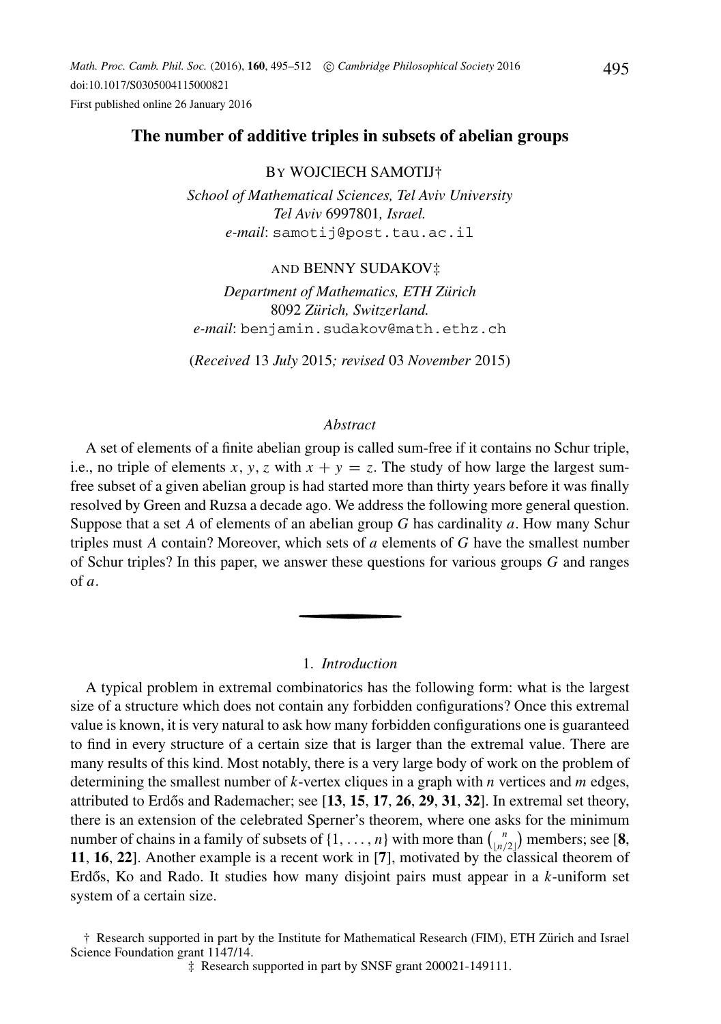#### **The number of additive triples in subsets of abelian groups**

#### BY WOJCIECH SAMOTIJ†

*School of Mathematical Sciences, Tel Aviv University Tel Aviv* 6997801*, Israel. e-mail*: samotij@post.tau.ac.il

#### AND BENNY SUDAKOV‡

*Department of Mathematics, ETH Zurich ¨* 8092 *Zurich, Switzerland. ¨ e-mail*: benjamin.sudakov@math.ethz.ch

(*Received* 13 *July* 2015*; revised* 03 *November* 2015)

#### *Abstract*

A set of elements of a finite abelian group is called sum-free if it contains no Schur triple, i.e., no triple of elements *x*, *y*, *z* with  $x + y = z$ . The study of how large the largest sumfree subset of a given abelian group is had started more than thirty years before it was finally resolved by Green and Ruzsa a decade ago. We address the following more general question. Suppose that a set *A* of elements of an abelian group *G* has cardinality *a*. How many Schur triples must *A* contain? Moreover, which sets of *a* elements of *G* have the smallest number of Schur triples? In this paper, we answer these questions for various groups *G* and ranges of *a*.

#### 1. *Introduction*

A typical problem in extremal combinatorics has the following form: what is the largest size of a structure which does not contain any forbidden configurations? Once this extremal value is known, it is very natural to ask how many forbidden configurations one is guaranteed to find in every structure of a certain size that is larger than the extremal value. There are many results of this kind. Most notably, there is a very large body of work on the problem of determining the smallest number of *k*-vertex cliques in a graph with *n* vertices and *m* edges, attributed to Erdős and Rademacher; see [13, 15, 17, 26, 29, 31, 32]. In extremal set theory, there is an extension of the celebrated Sperner's theorem, where one asks for the minimum number of chains in a family of subsets of  $\{1, \ldots, n\}$  with more than  $\binom{n}{n}$  $\binom{n}{\lfloor n/2 \rfloor}$  members; see [**8**, **11**, **16**, **22**]. Another example is a recent work in [**7**], motivated by the classical theorem of Erdős, Ko and Rado. It studies how many disjoint pairs must appear in a k-uniform set system of a certain size.

† Research supported in part by the Institute for Mathematical Research (FIM), ETH Zurich and Israel ¨ Science Foundation grant 1147/14.

‡ Research supported in part by SNSF grant 200021-149111.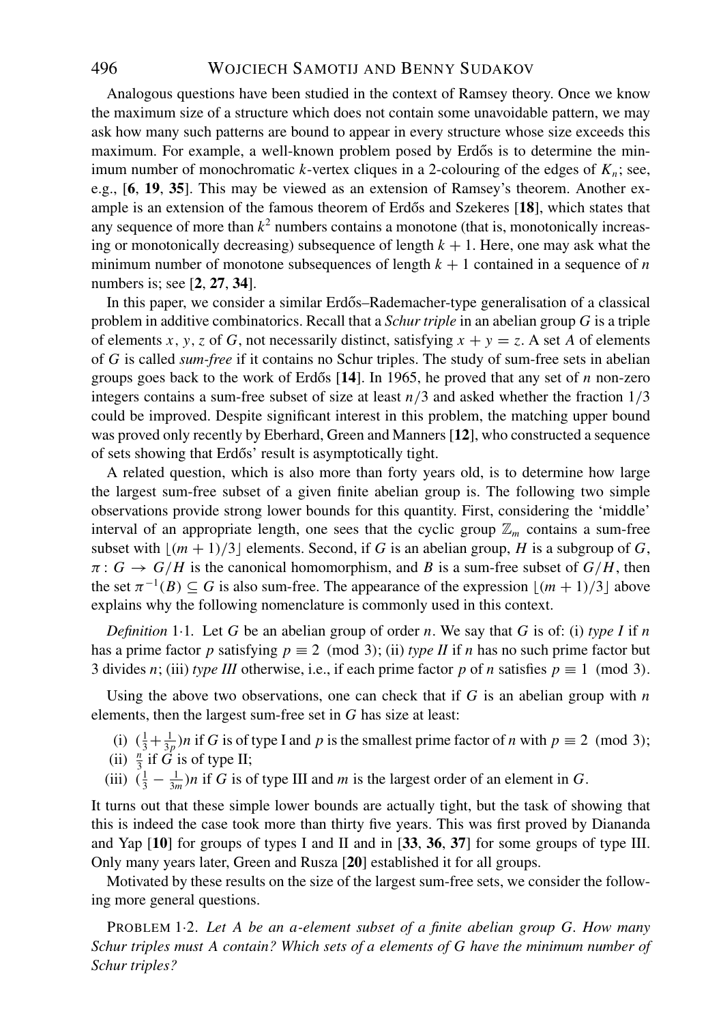Analogous questions have been studied in the context of Ramsey theory. Once we know the maximum size of a structure which does not contain some unavoidable pattern, we may ask how many such patterns are bound to appear in every structure whose size exceeds this maximum. For example, a well-known problem posed by Erdős is to determine the minimum number of monochromatic *k*-vertex cliques in a 2-colouring of the edges of  $K_n$ ; see, e.g., [**6**, **19**, **35**]. This may be viewed as an extension of Ramsey's theorem. Another example is an extension of the famous theorem of Erdős and Szekeres [18], which states that any sequence of more than  $k^2$  numbers contains a monotone (that is, monotonically increasing or monotonically decreasing) subsequence of length  $k + 1$ . Here, one may ask what the minimum number of monotone subsequences of length  $k + 1$  contained in a sequence of *n* numbers is; see [**2**, **27**, **34**].

In this paper, we consider a similar Erdős–Rademacher-type generalisation of a classical problem in additive combinatorics. Recall that a *Schur triple* in an abelian group *G* is a triple of elements *x*, *y*, *z* of *G*, not necessarily distinct, satisfying  $x + y = z$ . A set *A* of elements of *G* is called *sum-free* if it contains no Schur triples. The study of sum-free sets in abelian groups goes back to the work of Erdős  $[14]$ . In 1965, he proved that any set of *n* non-zero integers contains a sum-free subset of size at least  $n/3$  and asked whether the fraction  $1/3$ could be improved. Despite significant interest in this problem, the matching upper bound was proved only recently by Eberhard, Green and Manners [**12**], who constructed a sequence of sets showing that Erdős' result is asymptotically tight.

A related question, which is also more than forty years old, is to determine how large the largest sum-free subset of a given finite abelian group is. The following two simple observations provide strong lower bounds for this quantity. First, considering the 'middle' interval of an appropriate length, one sees that the cyclic group  $\mathbb{Z}_m$  contains a sum-free subset with  $\lfloor (m+1)/3 \rfloor$  elements. Second, if *G* is an abelian group, *H* is a subgroup of *G*,  $\pi: G \to G/H$  is the canonical homomorphism, and *B* is a sum-free subset of  $G/H$ , then the set  $\pi^{-1}(B) \subseteq G$  is also sum-free. The appearance of the expression  $|(m + 1)/3|$  above explains why the following nomenclature is commonly used in this context.

*Definition* 1·1*.* Let *G* be an abelian group of order *n*. We say that *G* is of: (i) *type I* if *n* has a prime factor *p* satisfying  $p \equiv 2 \pmod{3}$ ; (ii) *type II* if *n* has no such prime factor but 3 divides *n*; (iii) *type III* otherwise, i.e., if each prime factor *p* of *n* satisfies  $p \equiv 1 \pmod{3}$ .

Using the above two observations, one can check that if  $G$  is an abelian group with  $n$ elements, then the largest sum-free set in *G* has size at least:

- (i)  $(\frac{1}{3} + \frac{1}{3p})n$  if *G* is of type I and *p* is the smallest prime factor of *n* with  $p \equiv 2 \pmod{3}$ ;
- (ii)  $\frac{n}{3}$  if *G* is of type II;
- (iii)  $(\frac{1}{3} \frac{1}{3m})n$  if *G* is of type III and *m* is the largest order of an element in *G*.

It turns out that these simple lower bounds are actually tight, but the task of showing that this is indeed the case took more than thirty five years. This was first proved by Diananda and Yap [**10**] for groups of types I and II and in [**33**, **36**, **37**] for some groups of type III. Only many years later, Green and Rusza [**20**] established it for all groups.

Motivated by these results on the size of the largest sum-free sets, we consider the following more general questions.

PROBLEM 1·2. *Let A be an a-element subset of a finite abelian group G. How many Schur triples must A contain? Which sets of a elements of G have the minimum number of Schur triples?*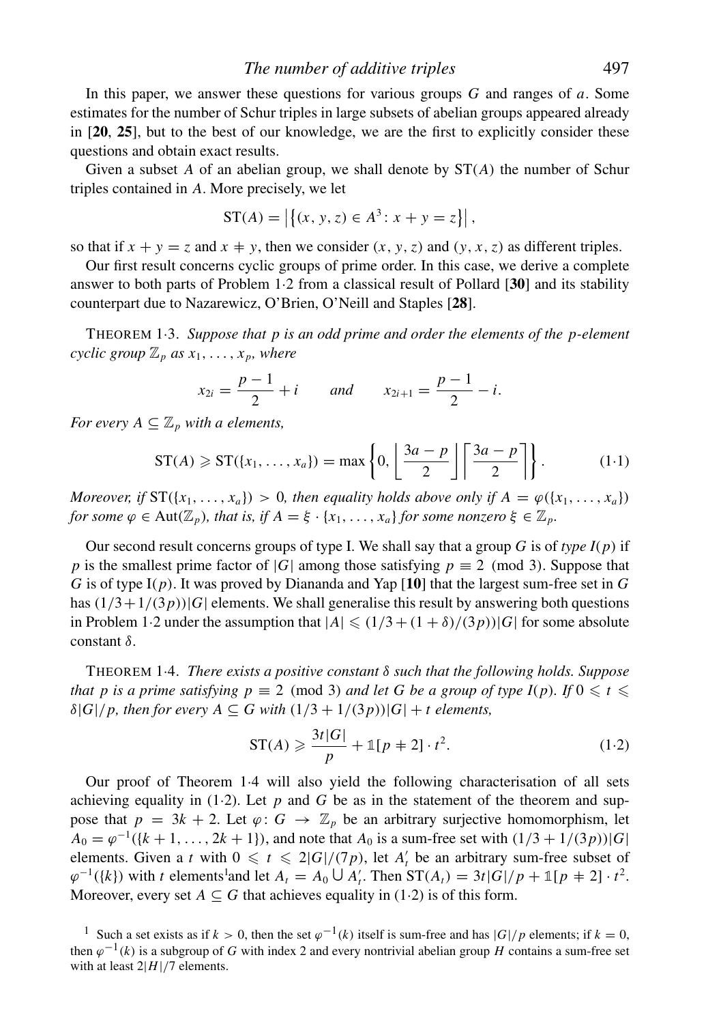In this paper, we answer these questions for various groups *G* and ranges of *a*. Some estimates for the number of Schur triples in large subsets of abelian groups appeared already in [**20**, **25**], but to the best of our knowledge, we are the first to explicitly consider these questions and obtain exact results.

Given a subset A of an abelian group, we shall denote by  $ST(A)$  the number of Schur triples contained in *A*. More precisely, we let

$$
ST(A) = |\{(x, y, z) \in A^3 : x + y = z\}|,
$$

so that if  $x + y = z$  and  $x \neq y$ , then we consider  $(x, y, z)$  and  $(y, x, z)$  as different triples.

Our first result concerns cyclic groups of prime order. In this case, we derive a complete answer to both parts of Problem 1·2 from a classical result of Pollard [**30**] and its stability counterpart due to Nazarewicz, O'Brien, O'Neill and Staples [**28**].

THEOREM 1·3. *Suppose that p is an odd prime and order the elements of the p-element cyclic group*  $\mathbb{Z}_p$  *as*  $x_1, \ldots, x_p$ *, where* 

$$
x_{2i} = \frac{p-1}{2} + i
$$
 and  $x_{2i+1} = \frac{p-1}{2} - i$ .

*For every*  $A \subseteq \mathbb{Z}_p$  *with a elements,* 

$$
ST(A) \geqslant ST(\lbrace x_1, \ldots, x_a \rbrace) = \max \left\{ 0, \left\lfloor \frac{3a - p}{2} \right\rfloor \left\lceil \frac{3a - p}{2} \right\rceil \right\}.
$$
 (1.1)

*Moreover, if*  $ST({x_1, ..., x_a}) > 0$ *, then equality holds above only if*  $A = \varphi({x_1, ..., x_a})$ *for some*  $\varphi \in Aut(\mathbb{Z}_p)$ *, that is, if*  $A = \xi \cdot \{x_1, \ldots, x_a\}$  *for some nonzero*  $\xi \in \mathbb{Z}_p$ *.* 

Our second result concerns groups of type I. We shall say that a group *G* is of *type I*(*p*) if *p* is the smallest prime factor of |*G*| among those satisfying  $p \equiv 2 \pmod{3}$ . Suppose that *G* is of type I(*p*). It was proved by Diananda and Yap [**10**] that the largest sum-free set in *G* has  $(1/3+1/(3p))|G|$  elements. We shall generalise this result by answering both questions in Problem 1.2 under the assumption that  $|A| \leq (1/3 + (1 + \delta)/(3p))|G|$  for some absolute constant δ.

THEOREM 1·4. *There exists a positive constant* δ *such that the following holds. Suppose that p is a prime satisfying p*  $\equiv$  2 (mod 3) *and let G be a group of type I(p). If*  $0 \le t \le$  $\delta|G|/p$ , then for every  $A \subseteq G$  with  $(1/3 + 1/(3p))|G| + t$  elements,

$$
ST(A) \geqslant \frac{3t|G|}{p} + \mathbb{1}[p+2] \cdot t^2. \tag{1.2}
$$

Our proof of Theorem 1·4 will also yield the following characterisation of all sets achieving equality in (1.2). Let  $p$  and  $G$  be as in the statement of the theorem and suppose that  $p = 3k + 2$ . Let  $\varphi: G \to \mathbb{Z}_p$  be an arbitrary surjective homomorphism, let  $A_0 = \varphi^{-1}(\{k+1,\ldots,2k+1\})$ , and note that  $A_0$  is a sum-free set with  $(1/3 + 1/(3p))|G|$ elements. Given a *t* with  $0 \le t \le 2|G|/(7p)$ , let  $A'_t$  be an arbitrary sum-free subset of  $\varphi^{-1}(\{k\})$  with *t* elements<sup>1</sup> and let  $A_t = A_0 \cup A'_t$ . Then  $ST(A_t) = 3t |G| / p + 1/p + 2l \cdot t^2$ . Moreover, every set  $A \subseteq G$  that achieves equality in (1·2) is of this form.

<sup>&</sup>lt;sup>1</sup> Such a set exists as if  $k > 0$ , then the set  $\varphi^{-1}(k)$  itself is sum-free and has  $|G|/p$  elements; if  $k = 0$ , then  $\varphi^{-1}(k)$  is a subgroup of *G* with index 2 and every nontrivial abelian group *H* contains a sum-free set with at least  $2|H|/7$  elements.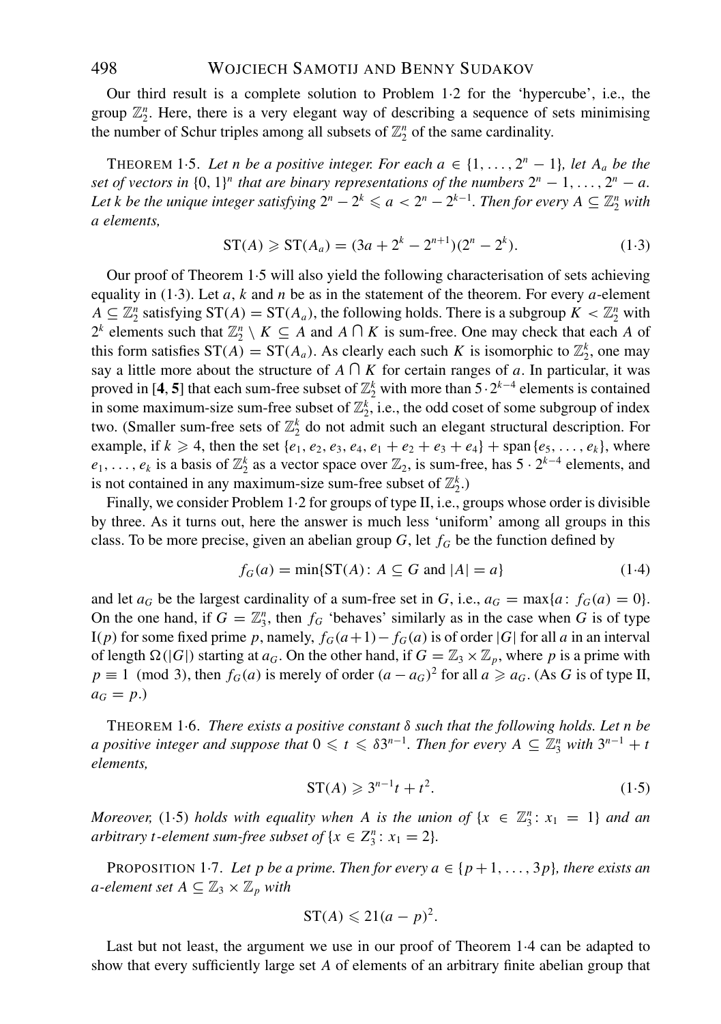Our third result is a complete solution to Problem 1·2 for the 'hypercube', i.e., the group  $\mathbb{Z}_2^n$ . Here, there is a very elegant way of describing a sequence of sets minimising the number of Schur triples among all subsets of  $\mathbb{Z}_2^n$  of the same cardinality.

THEOREM 1.5. Let n be a positive integer. For each  $a \in \{1, \ldots, 2^n - 1\}$ , let  $A_a$  be the *set of vectors in*  $\{0, 1\}^n$  *that are binary representations of the numbers*  $2^n - 1, \ldots, 2^n - a$ . *Let k be the unique integer satisfying*  $2^n - 2^k \leqslant a < 2^n - 2^{k-1}$ *. Then for every*  $A \subseteq \mathbb{Z}_2^n$  with *a elements,*

$$
ST(A) \geqslant ST(A_a) = (3a + 2^k - 2^{n+1})(2^n - 2^k). \tag{1.3}
$$

Our proof of Theorem 1·5 will also yield the following characterisation of sets achieving equality in  $(1·3)$ . Let *a*, *k* and *n* be as in the statement of the theorem. For every *a*-element  $A \subseteq \mathbb{Z}_2^n$  satisfying  $ST(A) = ST(A_a)$ , the following holds. There is a subgroup  $K < \mathbb{Z}_2^n$  with 2<sup>*k*</sup> elements such that  $\mathbb{Z}_2^n \setminus K \subseteq A$  and  $A \cap K$  is sum-free. One may check that each *A* of this form satisfies  $ST(A) = ST(A_a)$ . As clearly each such *K* is isomorphic to  $\mathbb{Z}_2^k$ , one may say a little more about the structure of  $A \cap K$  for certain ranges of *a*. In particular, it was proved in [4, 5] that each sum-free subset of  $\mathbb{Z}_2^k$  with more than  $5 \cdot 2^{k-4}$  elements is contained in some maximum-size sum-free subset of  $\mathbb{Z}_2^k$ , i.e., the odd coset of some subgroup of index two. (Smaller sum-free sets of  $\mathbb{Z}_2^k$  do not admit such an elegant structural description. For example, if  $k \ge 4$ , then the set  $\{e_1, e_2, e_3, e_4, e_1 + e_2 + e_3 + e_4\}$  + span $\{e_5, \ldots, e_k\}$ , where  $e_1, \ldots, e_k$  is a basis of  $\mathbb{Z}_2^k$  as a vector space over  $\mathbb{Z}_2$ , is sum-free, has  $5 \cdot 2^{k-4}$  elements, and is not contained in any maximum-size sum-free subset of  $\mathbb{Z}_2^k$ .)

Finally, we consider Problem 1·2 for groups of type II, i.e., groups whose order is divisible by three. As it turns out, here the answer is much less 'uniform' among all groups in this class. To be more precise, given an abelian group  $G$ , let  $f_G$  be the function defined by

$$
f_G(a) = \min\{ST(A) : A \subseteq G \text{ and } |A| = a\}
$$
 (1.4)

and let  $a_G$  be the largest cardinality of a sum-free set in *G*, i.e.,  $a_G = \max\{a : f_G(a) = 0\}$ . On the one hand, if  $G = \mathbb{Z}_3^n$ , then  $f_G$  'behaves' similarly as in the case when G is of type I(*p*) for some fixed prime *p*, namely,  $f_G(a+1) - f_G(a)$  is of order |G| for all *a* in an interval of length  $\Omega(|G|)$  starting at *a<sub>G</sub>*. On the other hand, if  $G = \mathbb{Z}_3 \times \mathbb{Z}_p$ , where *p* is a prime with  $p \equiv 1 \pmod{3}$ , then  $f_G(a)$  is merely of order  $(a - a_G)^2$  for all  $a \ge a_G$ . (As *G* is of type II,  $a_G = p$ .)

THEOREM 1·6. *There exists a positive constant* δ *such that the following holds. Let n be a* positive integer and suppose that  $0 \le t \le \delta 3^{n-1}$ . Then for every  $A \subseteq \mathbb{Z}_3^n$  with  $3^{n-1} + t$ *elements,*

$$
ST(A) \geqslant 3^{n-1}t + t^2. \tag{1.5}
$$

*Moreover,* (1.5) *holds with equality when A is the union of*  $\{x \in \mathbb{Z}_3^n : x_1 = 1\}$  *and an arbitrary t-element sum-free subset of*  $\{x \in Z_3^n : x_1 = 2\}$ *.* 

PROPOSITION 1*-7. Let p be a prime. Then for every*  $a \in \{p+1,\ldots,3p\}$ *, there exists an a-element set*  $A \subseteq \mathbb{Z}_3 \times \mathbb{Z}_p$  *with* 

$$
ST(A) \leq 21(a - p)^2.
$$

Last but not least, the argument we use in our proof of Theorem 1·4 can be adapted to show that every sufficiently large set *A* of elements of an arbitrary finite abelian group that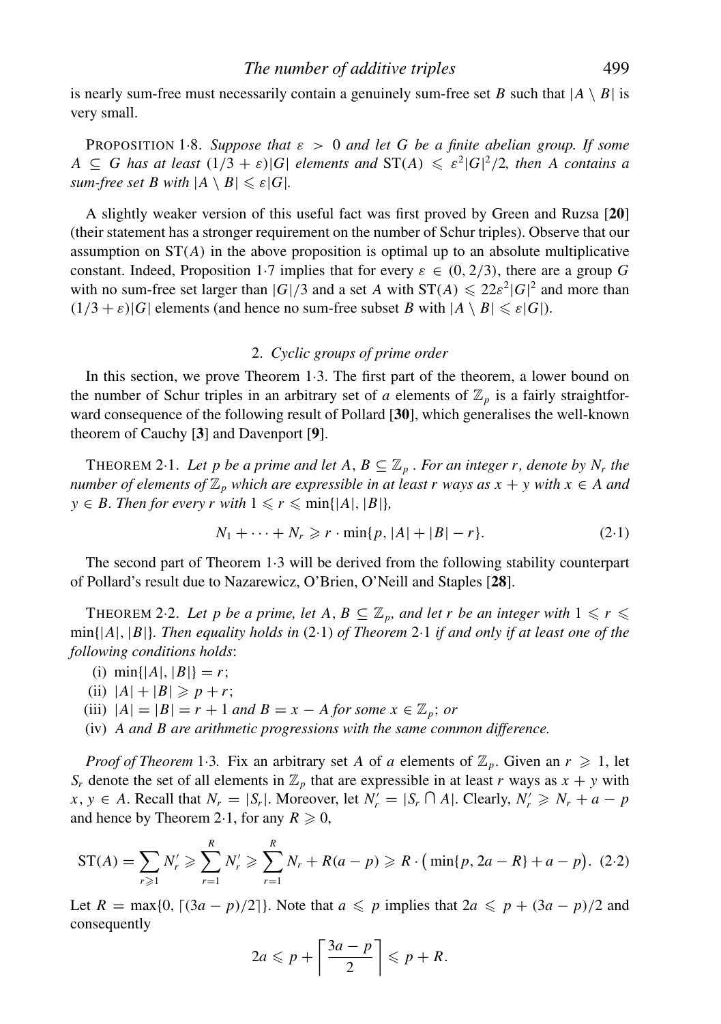is nearly sum-free must necessarily contain a genuinely sum-free set *B* such that  $|A \setminus B|$  is very small.

PROPOSITION 1.8. Suppose that  $\varepsilon > 0$  and let G be a finite abelian group. If some  $A \subseteq G$  has at least  $(1/3 + \varepsilon)|G|$  elements and  $ST(A) \leqslant \varepsilon^2 |G|^2/2$ , then A contains a *sum-free set B with*  $|A \setminus B| \leq \varepsilon |G|$ *.* 

A slightly weaker version of this useful fact was first proved by Green and Ruzsa [**20**] (their statement has a stronger requirement on the number of Schur triples). Observe that our assumption on  $ST(A)$  in the above proposition is optimal up to an absolute multiplicative constant. Indeed, Proposition 1·7 implies that for every  $\varepsilon \in (0, 2/3)$ , there are a group G with no sum-free set larger than  $|G|/3$  and a set *A* with  $ST(A) \leq 22\varepsilon^2 |G|^2$  and more than  $(1/3 + \varepsilon)|G|$  elements (and hence no sum-free subset *B* with  $|A \setminus B| \leq \varepsilon|G|$ ).

#### 2. *Cyclic groups of prime order*

In this section, we prove Theorem 1·3. The first part of the theorem, a lower bound on the number of Schur triples in an arbitrary set of *a* elements of  $\mathbb{Z}_p$  is a fairly straightforward consequence of the following result of Pollard [**30**], which generalises the well-known theorem of Cauchy [**3**] and Davenport [**9**].

THEOREM 2.1. Let p be a prime and let  $A, B \subseteq \mathbb{Z}_p$ . For an integer r, denote by  $N_r$  the *number of elements of*  $\mathbb{Z}_p$  *which are expressible in at least r ways as*  $x + y$  *with*  $x \in A$  *and y* ∈ *B. Then for every r with*  $1 ≤ r ≤ min{ |A|, |B| }$ *,* 

$$
N_1 + \dots + N_r \geq r \cdot \min\{p, |A| + |B| - r\}.
$$
 (2.1)

The second part of Theorem 1·3 will be derived from the following stability counterpart of Pollard's result due to Nazarewicz, O'Brien, O'Neill and Staples [**28**].

THEOREM 2.2. Let p be a prime, let A,  $B \subseteq \mathbb{Z}_p$ , and let r be an integer with  $1 \leq r \leq$ min{|*A*|, |*B*|}*. Then equality holds in* (2·1) *of Theorem* 2·1 *if and only if at least one of the following conditions holds*:

- (i)  $\min\{|A|, |B|\} = r$ ;
- (ii)  $|A| + |B| \geq p + r$ ;
- (iii)  $|A| = |B| = r + 1$  *and*  $B = x A$  *for some*  $x \in \mathbb{Z}_p$ ; *or*

(iv) *A and B are arithmetic progressions with the same common difference.*

*Proof of Theorem* 1.3. Fix an arbitrary set *A* of *a* elements of  $\mathbb{Z}_p$ . Given an  $r \geq 1$ , let *S<sub>r</sub>* denote the set of all elements in  $\mathbb{Z}_p$  that are expressible in at least *r* ways as  $x + y$  with *x*, *y* ∈ *A*. Recall that  $N_r = |S_r|$ . Moreover, let  $N'_r = |S_r \cap A|$ . Clearly,  $N'_r \ge N_r + a - p$ and hence by Theorem 2.1, for any  $R \geqslant 0$ ,

$$
ST(A) = \sum_{r \geq 1} N'_r \geq \sum_{r=1}^R N'_r \geq \sum_{r=1}^R N_r + R(a - p) \geq R \cdot (\min\{p, 2a - R\} + a - p). \tag{2.2}
$$

Let  $R = \max\{0, \lceil (3a - p)/2 \rceil\}$ . Note that  $a \leq p$  implies that  $2a \leq p + (3a - p)/2$  and consequently

$$
2a \leqslant p + \left\lceil \frac{3a - p}{2} \right\rceil \leqslant p + R.
$$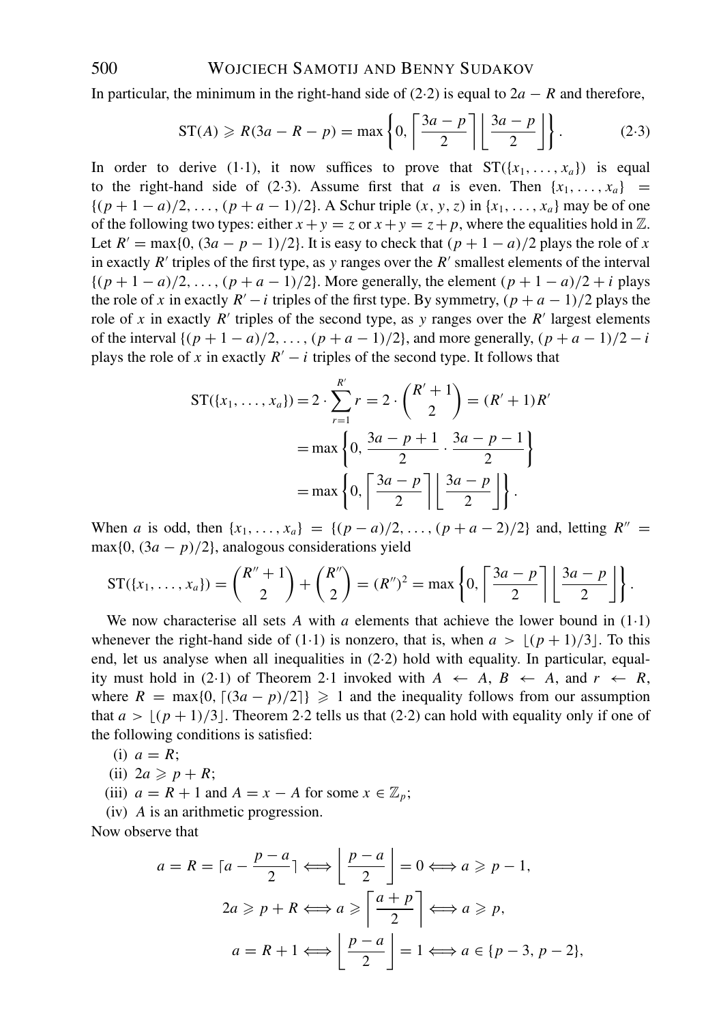In particular, the minimum in the right-hand side of (2·2) is equal to  $2a - R$  and therefore,

$$
ST(A) \ge R(3a - R - p) = \max\left\{0, \left\lceil \frac{3a - p}{2} \right\rceil \left\lfloor \frac{3a - p}{2} \right\rfloor \right\}.
$$
 (2.3)

In order to derive (1.1), it now suffices to prove that  $ST({x_1},...,x_a)$  is equal to the right-hand side of (2.3). Assume first that *a* is even. Then  $\{x_1, \ldots, x_a\}$  ${(p+1-a)/2,...,(p+a-1)/2}$ . A Schur triple  $(x, y, z)$  in  ${x_1,...,x_a}$  may be of one of the following two types: either  $x + y = z$  or  $x + y = z + p$ , where the equalities hold in  $\mathbb{Z}$ . Let  $R' = \max\{0, (3a - p - 1)/2\}$ . It is easy to check that  $(p + 1 - a)/2$  plays the role of *x* in exactly  $R'$  triples of the first type, as y ranges over the  $R'$  smallest elements of the interval  $\{(p+1-a)/2,\ldots,(p+a-1)/2\}$ . More generally, the element  $(p+1-a)/2+i$  plays the role of *x* in exactly  $R' - i$  triples of the first type. By symmetry,  $(p + a - 1)/2$  plays the role of x in exactly  $R'$  triples of the second type, as y ranges over the  $R'$  largest elements of the interval  $\{(p+1-a)/2,\ldots,(p+a-1)/2\}$ , and more generally,  $(p+a-1)/2-i$ plays the role of *x* in exactly  $R' - i$  triples of the second type. It follows that

$$
ST(\lbrace x_1, \ldots, x_a \rbrace) = 2 \cdot \sum_{r=1}^{R'} r = 2 \cdot {R' + 1 \choose 2} = (R' + 1)R'
$$
  
= max  $\left\{ 0, \frac{3a - p + 1}{2} \cdot \frac{3a - p - 1}{2} \right\}$   
= max  $\left\{ 0, \left\lceil \frac{3a - p}{2} \right\rceil \left\lfloor \frac{3a - p}{2} \right\rfloor \right\}$ .

When *a* is odd, then  $\{x_1, \ldots, x_a\} = \{(p - a)/2, \ldots, (p + a - 2)/2\}$  and, letting  $R'' =$ max $\{0, (3a - p)/2\}$ , analogous considerations yield

$$
ST(\lbrace x_1,\ldots,x_a\rbrace)=\binom{R''+1}{2}+\binom{R''}{2}=(R'')^2=\max\left\{0,\left\lceil\frac{3a-p}{2}\right\rceil\right\}\frac{3a-p}{2}\right\}.
$$

We now characterise all sets  $A$  with  $a$  elements that achieve the lower bound in  $(1 \cdot 1)$ whenever the right-hand side of (1.1) is nonzero, that is, when  $a > |(p + 1)/3|$ . To this end, let us analyse when all inequalities in  $(2.2)$  hold with equality. In particular, equality must hold in (2.1) of Theorem 2.1 invoked with  $A \leftarrow A, B \leftarrow A$ , and  $r \leftarrow R$ , where  $R = \max\{0, \lfloor (3a - p)/2 \rfloor\} \ge 1$  and the inequality follows from our assumption that  $a > \lfloor (p + 1)/3 \rfloor$ . Theorem 2.2 tells us that (2.2) can hold with equality only if one of the following conditions is satisfied:

- (i)  $a = R$ ;
- (ii)  $2a \geqslant p + R$ ;
- (iii)  $a = R + 1$  and  $A = x A$  for some  $x \in \mathbb{Z}_p$ ;
- (iv) *A* is an arithmetic progression.

Now observe that

$$
a = R = \lceil a - \frac{p - a}{2} \rceil \Longleftrightarrow \left\lfloor \frac{p - a}{2} \right\rfloor = 0 \Longleftrightarrow a \ge p - 1,
$$
  

$$
2a \ge p + R \Longleftrightarrow a \ge \left\lceil \frac{a + p}{2} \right\rceil \Longleftrightarrow a \ge p,
$$
  

$$
a = R + 1 \Longleftrightarrow \left\lfloor \frac{p - a}{2} \right\rfloor = 1 \Longleftrightarrow a \in \{p - 3, p - 2\},
$$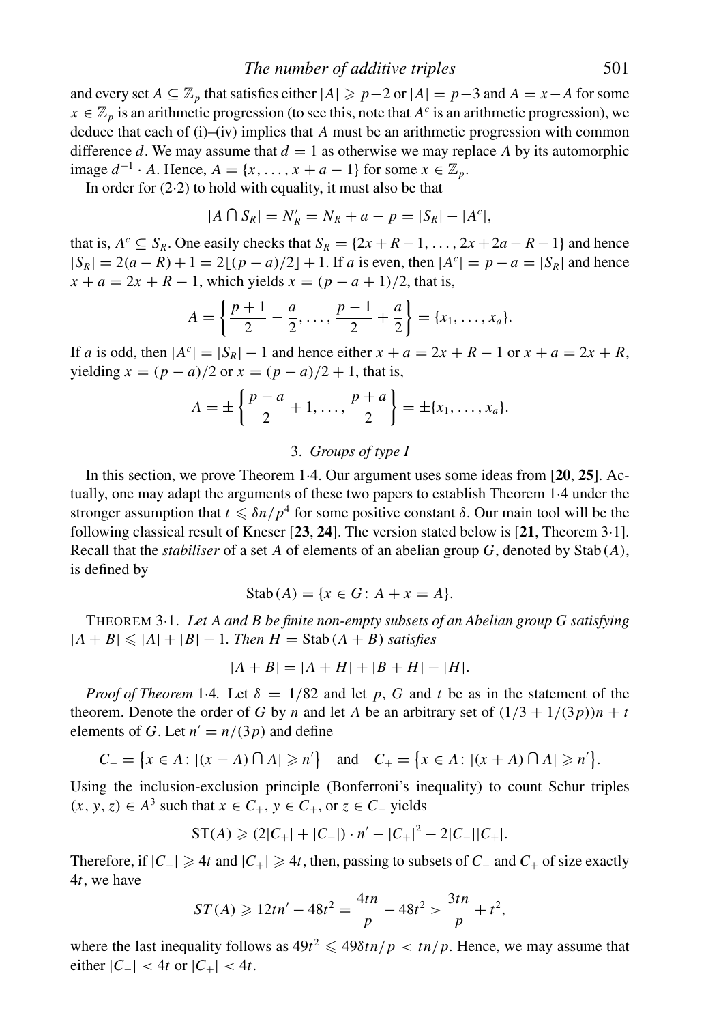*The number of additive triples* 501

and every set  $A \subseteq \mathbb{Z}_p$  that satisfies either  $|A| \geqslant p-2$  or  $|A| = p-3$  and  $A = x-A$  for some  $x \in \mathbb{Z}_p$  is an arithmetic progression (to see this, note that  $A^c$  is an arithmetic progression), we deduce that each of (i)–(iv) implies that *A* must be an arithmetic progression with common difference *d*. We may assume that  $d = 1$  as otherwise we may replace *A* by its automorphic image  $d^{-1}$  · *A*. Hence,  $A = \{x, ..., x + a - 1\}$  for some  $x \in \mathbb{Z}_p$ .

In order for  $(2.2)$  to hold with equality, it must also be that

$$
|A \cap S_R| = N'_R = N_R + a - p = |S_R| - |A^c|,
$$

that is,  $A^c \subseteq S_R$ . One easily checks that  $S_R = \{2x + R - 1, \ldots, 2x + 2a - R - 1\}$  and hence  $|S_R| = 2(a - R) + 1 = 2[(p - a)/2] + 1$ . If *a* is even, then  $|A^c| = p - a = |S_R|$  and hence  $x + a = 2x + R - 1$ , which yields  $x = (p - a + 1)/2$ , that is,

$$
A = \left\{ \frac{p+1}{2} - \frac{a}{2}, \ldots, \frac{p-1}{2} + \frac{a}{2} \right\} = \{x_1, \ldots, x_a\}.
$$

If *a* is odd, then  $|A^c| = |S_R| - 1$  and hence either  $x + a = 2x + R - 1$  or  $x + a = 2x + R$ , yielding *x* =  $(p − a)/2$  or *x* =  $(p − a)/2 + 1$ , that is,

$$
A = \pm \left\{ \frac{p-a}{2} + 1, \ldots, \frac{p+a}{2} \right\} = \pm \{x_1, \ldots, x_a\}.
$$

#### 3. *Groups of type I*

In this section, we prove Theorem 1·4. Our argument uses some ideas from [**20**, **25**]. Actually, one may adapt the arguments of these two papers to establish Theorem 1·4 under the stronger assumption that  $t \leq \delta n/p^4$  for some positive constant  $\delta$ . Our main tool will be the following classical result of Kneser [**23**, **24**]. The version stated below is [**21**, Theorem 3·1]. Recall that the *stabiliser* of a set *A* of elements of an abelian group *G*, denoted by Stab( $A$ ), is defined by

$$
Stab(A) = \{ x \in G : A + x = A \}.
$$

THEOREM 3·1. *Let A and B be finite non-empty subsets of an Abelian group G satisfying*  $|A + B| \leq |A| + |B| - 1$ . Then  $H =$  Stab( $A + B$ ) *satisfies* 

$$
|A + B| = |A + H| + |B + H| - |H|.
$$

*Proof of Theorem* 1.4. Let  $\delta = 1/82$  and let p, G and t be as in the statement of the theorem. Denote the order of *G* by *n* and let *A* be an arbitrary set of  $(1/3 + 1/(3p))n + t$ elements of *G*. Let  $n' = n/(3p)$  and define

$$
C_{-} = \{x \in A : |(x - A) \cap A| \geq n'\} \text{ and } C_{+} = \{x \in A : |(x + A) \cap A| \geq n'\}.
$$

Using the inclusion-exclusion principle (Bonferroni's inequality) to count Schur triples  $(x, y, z)$  ∈  $A^3$  such that  $x \in C_+$ ,  $y \in C_+$ , or  $z \in C_-$  yields

$$
ST(A) \geqslant (2|C_+| + |C_-|) \cdot n' - |C_+|^2 - 2|C_-||C_+|.
$$

Therefore, if  $|C_-\rangle \ge 4t$  and  $|C_+\rangle \ge 4t$ , then, passing to subsets of  $C_-\$  and  $C_+\$  of size exactly 4*t*, we have

$$
ST(A) \geqslant 12tn' - 48t^2 = \frac{4tn}{p} - 48t^2 > \frac{3tn}{p} + t^2,
$$

where the last inequality follows as  $49t^2 \leq 49\delta tn/p < tn/p$ . Hence, we may assume that  $\text{either } |C_-| < 4t \text{ or } |C_+| < 4t.$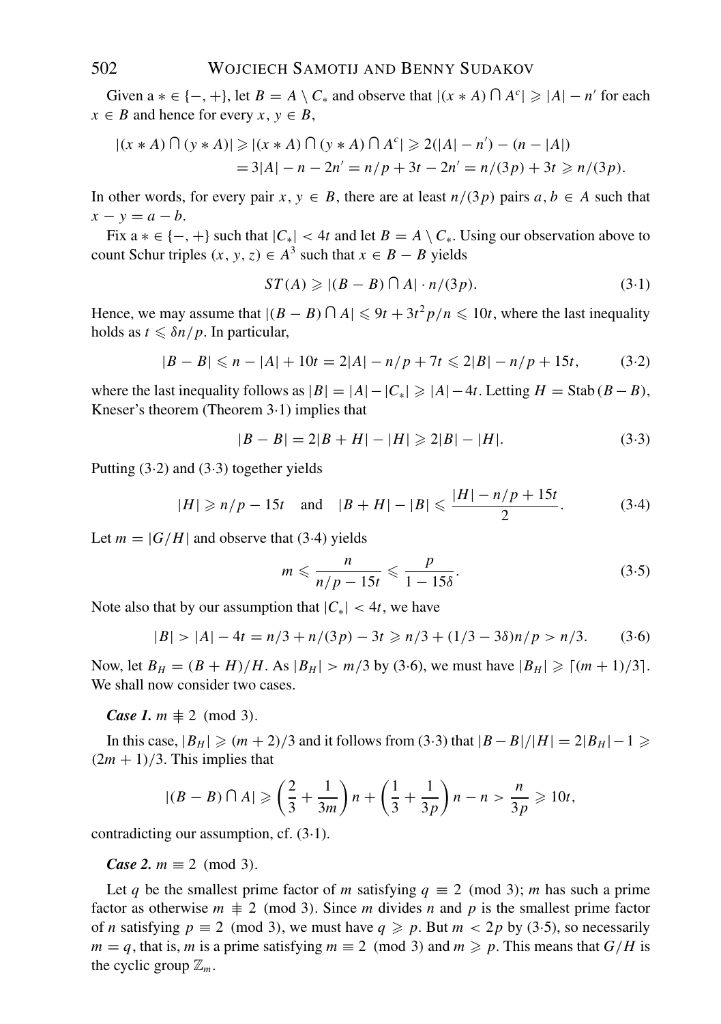Given  $a * \in \{-, +\}$ , let  $B = A \setminus C_*$  and observe that  $|(x * A) \cap A^c| \geq |A| - n'$  for each  $x \in B$  and hence for every  $x, y \in B$ ,

$$
|(x*A) \cap (y*A)| \ge |(x*A) \cap (y*A) \cap A^c| \ge 2(|A|-n') - (n-|A|)
$$
  
= 3|A|-n - 2n' = n/p + 3t - 2n' = n/(3p) + 3t \ge n/(3p).

In other words, for every pair  $x, y \in B$ , there are at least  $n/(3p)$  pairs  $a, b \in A$  such that  $x - y = a - b$ .

Fix  $a * \in \{-, +\}$  such that  $|C_*| < 4t$  and let  $B = A \setminus C_*$ . Using our observation above to count Schur triples  $(x, y, z) \in A^3$  such that  $x \in B - B$  yields

$$
ST(A) \geqslant |(B - B) \cap A| \cdot n/(3p). \tag{3.1}
$$

Hence, we may assume that  $|(B - B) \cap A| \leq 9t + 3t^2 p/n \leq 10t$ , where the last inequality holds as  $t \leq \delta n / p$ . In particular,

$$
|B - B| \le n - |A| + 10t = 2|A| - n/p + 7t \le 2|B| - n/p + 15t,
$$
 (3.2)

where the last inequality follows as  $|B| = |A| - |C_*| \ge |A| - 4t$ . Letting  $H = \text{Stab}(B - B)$ , Kneser's theorem (Theorem 3·1) implies that

$$
|B - B| = 2|B + H| - |H| \ge 2|B| - |H|.
$$
 (3.3)

Putting  $(3.2)$  and  $(3.3)$  together yields

$$
|H| \ge n/p - 15t
$$
 and  $|B + H| - |B| \le \frac{|H| - n/p + 15t}{2}$ . (3.4)

Let  $m = |G/H|$  and observe that (3.4) yields

$$
m \leqslant \frac{n}{n/p - 15t} \leqslant \frac{p}{1 - 15\delta}.
$$
\n(3.5)

Note also that by our assumption that  $|C_*| < 4t$ , we have

$$
|B| > |A| - 4t = n/3 + n/(3p) - 3t \ge n/3 + (1/3 - 3\delta)n/p > n/3. \tag{3.6}
$$

Now, let  $B_H = (B + H)/H$ . As  $|B_H| > m/3$  by (3.6), we must have  $|B_H| \geq (m + 1)/3$ . We shall now consider two cases.

*Case 1. m*  $\neq$  2 (mod 3).

In this case,  $|B_H| \geqslant (m+2)/3$  and it follows from (3·3) that  $|B - B|/|H| = 2|B_H| - 1 \geqslant$  $(2m + 1)/3$ . This implies that

$$
|(B-B)\cap A|\geqslant \left(\frac{2}{3}+\frac{1}{3m}\right)n+\left(\frac{1}{3}+\frac{1}{3p}\right)n-n>\frac{n}{3p}\geqslant 10t,
$$

contradicting our assumption, cf. (3·1).

*Case 2.*  $m \equiv 2 \pmod{3}$ .

Let *q* be the smallest prime factor of *m* satisfying  $q \equiv 2 \pmod{3}$ ; *m* has such a prime factor as otherwise  $m \neq 2 \pmod{3}$ . Since *m* divides *n* and *p* is the smallest prime factor of *n* satisfying  $p \equiv 2 \pmod{3}$ , we must have  $q \geq p$ . But  $m < 2p$  by (3·5), so necessarily *m* = *q*, that is, *m* is a prime satisfying  $m \equiv 2 \pmod{3}$  and  $m \geq p$ . This means that  $G/H$  is the cyclic group  $\mathbb{Z}_m$ .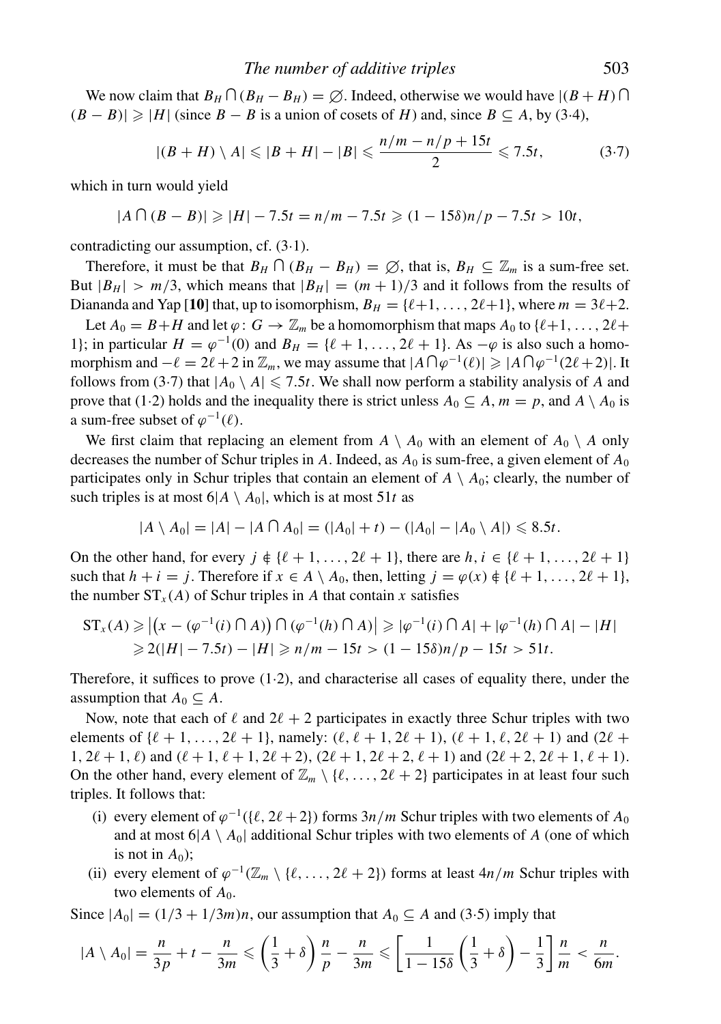We now claim that  $B_H \cap (B_H - B_H) = \emptyset$ . Indeed, otherwise we would have  $|(B + H) \cap$  $(B - B)$ | ≥ |*H*| (since *B* − *B* is a union of cosets of *H*) and, since *B* ⊆ *A*, by (3·4),

$$
|(B+H)\setminus A| \leqslant |B+H| - |B| \leqslant \frac{n/m - n/p + 15t}{2} \leqslant 7.5t,
$$
 (3.7)

which in turn would yield

 $|A \cap (B - B)| \ge |H| - 7.5t = n/m - 7.5t \ge (1 - 15\delta)n/p - 7.5t > 10t$ ,

contradicting our assumption, cf. (3·1).

Therefore, it must be that  $B_H \cap (B_H - B_H) = \emptyset$ , that is,  $B_H \subseteq \mathbb{Z}_m$  is a sum-free set. But  $|B_H| > m/3$ , which means that  $|B_H| = (m+1)/3$  and it follows from the results of Diananda and Yap [10] that, up to isomorphism,  $B_H = \{\ell+1, \ldots, 2\ell+1\}$ , where  $m = 3\ell+2$ .

Let  $A_0 = B + H$  and let  $\varphi: G \to \mathbb{Z}_m$  be a homomorphism that maps  $A_0$  to  $\{\ell+1, \ldots, 2\ell+\ell\}$ 1}; in particular  $H = \varphi^{-1}(0)$  and  $B_H = {\ell + 1, \ldots, 2\ell + 1}$ . As  $-\varphi$  is also such a homomorphism and  $-\ell = 2\ell + 2$  in  $\mathbb{Z}_m$ , we may assume that  $|A \cap \varphi^{-1}(\ell)| \geq |A \cap \varphi^{-1}(2\ell + 2)|$ . It follows from (3.7) that  $|A_0 \setminus A| \le 7.5t$ . We shall now perform a stability analysis of *A* and prove that (1·2) holds and the inequality there is strict unless  $A_0 \subseteq A$ ,  $m = p$ , and  $A \setminus A_0$  is a sum-free subset of  $\varphi^{-1}(\ell)$ .

We first claim that replacing an element from  $A \setminus A_0$  with an element of  $A_0 \setminus A$  only decreases the number of Schur triples in A. Indeed, as  $A_0$  is sum-free, a given element of  $A_0$ participates only in Schur triples that contain an element of  $A \setminus A_0$ ; clearly, the number of such triples is at most  $6|A \setminus A_0|$ , which is at most 51*t* as

$$
|A \setminus A_0| = |A| - |A \cap A_0| = (|A_0| + t) - (|A_0| - |A_0 \setminus A|) \leq 8.5t.
$$

On the other hand, for every  $j \notin \{\ell+1,\ldots,2\ell+1\}$ , there are  $h, i \in \{\ell+1,\ldots,2\ell+1\}$ such that  $h + i = j$ . Therefore if  $x \in A \setminus A_0$ , then, letting  $j = \varphi(x) \notin \{\ell + 1, \ldots, 2\ell + 1\}$ , the number  $ST_x(A)$  of Schur triples in *A* that contain *x* satisfies

$$
ST_x(A) \ge |(x - (\varphi^{-1}(i) \cap A)) \cap (\varphi^{-1}(h) \cap A)| \ge |\varphi^{-1}(i) \cap A| + |\varphi^{-1}(h) \cap A| - |H|
$$
  
\n
$$
\ge 2(|H| - 7.5t) - |H| \ge n/m - 15t > (1 - 15\delta)n/p - 15t > 51t.
$$

Therefore, it suffices to prove  $(1·2)$ , and characterise all cases of equality there, under the assumption that  $A_0 \subseteq A$ .

Now, note that each of  $\ell$  and  $2\ell + 2$  participates in exactly three Schur triples with two elements of  $\{\ell + 1, \ldots, 2\ell + 1\}$ , namely:  $(\ell, \ell + 1, 2\ell + 1)$ ,  $(\ell + 1, \ell, 2\ell + 1)$  and  $(2\ell +$  $1, 2\ell + 1, \ell$  and  $(\ell + 1, \ell + 1, 2\ell + 2), (2\ell + 1, 2\ell + 2, \ell + 1)$  and  $(2\ell + 2, 2\ell + 1, \ell + 1)$ . On the other hand, every element of  $\mathbb{Z}_m \setminus \{ \ell, \ldots, 2\ell + 2 \}$  participates in at least four such triples. It follows that:

- (i) every element of  $\varphi^{-1}(\{\ell, 2\ell + 2\})$  forms  $3n/m$  Schur triples with two elements of  $A_0$ and at most  $6|A \setminus A_0|$  additional Schur triples with two elements of *A* (one of which is not in  $A_0$ );
- (ii) every element of  $\varphi^{-1}(\mathbb{Z}_m \setminus \{\ell, \ldots, 2\ell + 2\})$  forms at least  $4n/m$  Schur triples with two elements of  $A_0$ .

Since  $|A_0| = (1/3 + 1/3m)n$ , our assumption that  $A_0 \subseteq A$  and (3.5) imply that

$$
|A\setminus A_0|=\frac{n}{3p}+t-\frac{n}{3m}\leqslant\left(\frac{1}{3}+\delta\right)\frac{n}{p}-\frac{n}{3m}\leqslant\left[\frac{1}{1-15\delta}\left(\frac{1}{3}+\delta\right)-\frac{1}{3}\right]\frac{n}{m}<\frac{n}{6m}.
$$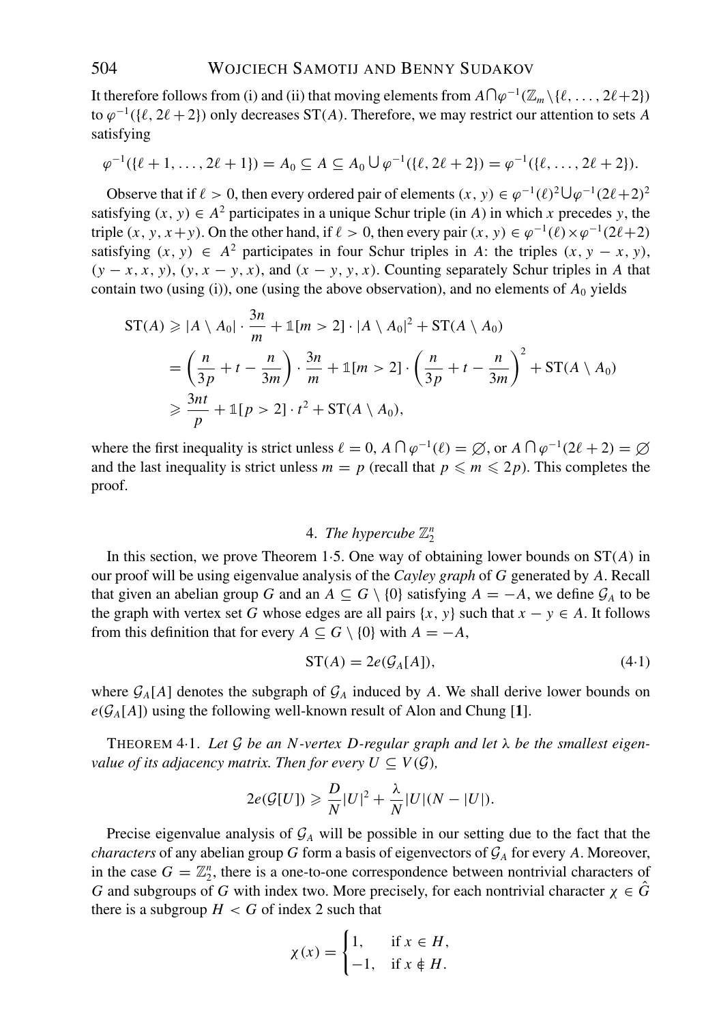It therefore follows from (i) and (ii) that moving elements from  $A\bigcap \varphi^{-1}(\mathbb{Z}_m \setminus \{\ell, \ldots, 2\ell+2\})$ to  $\varphi^{-1}(\{\ell, 2\ell + 2\})$  only decreases ST(*A*). Therefore, we may restrict our attention to sets *A* satisfying

$$
\varphi^{-1}(\{\ell+1,\ldots,2\ell+1\})=A_0\subseteq A\subseteq A_0\cup \varphi^{-1}(\{\ell,2\ell+2\})=\varphi^{-1}(\{\ell,\ldots,2\ell+2\}).
$$

Observe that if  $\ell > 0$ , then every ordered pair of elements  $(x, y) \in \varphi^{-1}(\ell)^2 \cup \varphi^{-1}(2\ell+2)^2$ satisfying  $(x, y) \in A^2$  participates in a unique Schur triple (in *A*) in which *x* precedes *y*, the triple  $(x, y, x+y)$ . On the other hand, if  $\ell > 0$ , then every pair  $(x, y) \in \varphi^{-1}(\ell) \times \varphi^{-1}(2\ell+2)$ satisfying  $(x, y) \in A^2$  participates in four Schur triples in *A*: the triples  $(x, y - x, y)$ ,  $(y - x, x, y)$ ,  $(y, x - y, x)$ , and  $(x - y, y, x)$ . Counting separately Schur triples in *A* that contain two (using (i)), one (using the above observation), and no elements of  $A_0$  yields

$$
ST(A) \ge |A \setminus A_0| \cdot \frac{3n}{m} + \mathbb{1}[m > 2] \cdot |A \setminus A_0|^2 + ST(A \setminus A_0)
$$
  
=  $\left(\frac{n}{3p} + t - \frac{n}{3m}\right) \cdot \frac{3n}{m} + \mathbb{1}[m > 2] \cdot \left(\frac{n}{3p} + t - \frac{n}{3m}\right)^2 + ST(A \setminus A_0)$   
 $\ge \frac{3nt}{p} + \mathbb{1}[p > 2] \cdot t^2 + ST(A \setminus A_0),$ 

where the first inequality is strict unless  $\ell = 0$ ,  $A \cap \varphi^{-1}(\ell) = \varnothing$ , or  $A \cap \varphi^{-1}(2\ell + 2) = \varnothing$ and the last inequality is strict unless  $m = p$  (recall that  $p \le m \le 2p$ ). This completes the proof.

## 4. *The hypercube* Z*<sup>n</sup>* 2

In this section, we prove Theorem 1·5. One way of obtaining lower bounds on ST(*A*) in our proof will be using eigenvalue analysis of the *Cayley graph* of *G* generated by *A*. Recall that given an abelian group *G* and an  $A \subseteq G \setminus \{0\}$  satisfying  $A = -A$ , we define  $\mathcal{G}_A$  to be the graph with vertex set *G* whose edges are all pairs  $\{x, y\}$  such that  $x - y \in A$ . It follows from this definition that for every  $A \subseteq G \setminus \{0\}$  with  $A = -A$ ,

$$
ST(A) = 2e(\mathcal{G}_A[A]), \tag{4-1}
$$

where  $G_A[A]$  denotes the subgraph of  $G_A$  induced by A. We shall derive lower bounds on  $e(G_A[A])$  using the following well-known result of Alon and Chung [1].

THEOREM 4·1. *Let* G *be an N-vertex D-regular graph and let* λ *be the smallest eigenvalue of its adjacency matrix. Then for every*  $U \subseteq V(G)$ *,* 

$$
2e(\mathcal{G}[U]) \geqslant \frac{D}{N}|U|^2 + \frac{\lambda}{N}|U|(N-|U|).
$$

Precise eigenvalue analysis of  $G_A$  will be possible in our setting due to the fact that the *characters* of any abelian group *G* form a basis of eigenvectors of  $\mathcal{G}_A$  for every *A*. Moreover, in the case  $G = \mathbb{Z}_2^n$ , there is a one-to-one correspondence between nontrivial characters of *G* and subgroups of *G* with index two. More precisely, for each nontrivial character  $\chi \in G$ there is a subgroup  $H < G$  of index 2 such that

$$
\chi(x) = \begin{cases} 1, & \text{if } x \in H, \\ -1, & \text{if } x \notin H. \end{cases}
$$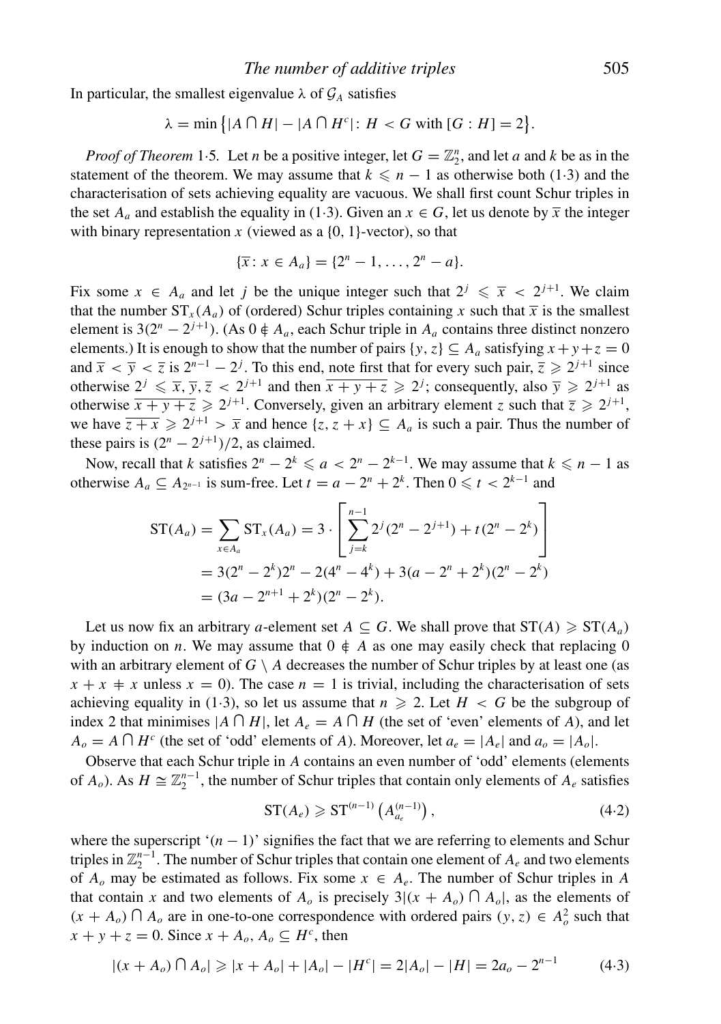In particular, the smallest eigenvalue  $\lambda$  of  $\mathcal{G}_A$  satisfies

$$
\lambda = \min\left\{ |A \cap H| - |A \cap H^c| \colon H < G \text{ with } [G : H] = 2 \right\}.
$$

*Proof of Theorem* 1.5. Let *n* be a positive integer, let  $G = \mathbb{Z}_2^n$ , and let *a* and *k* be as in the statement of the theorem. We may assume that  $k \leq n - 1$  as otherwise both (1.3) and the characterisation of sets achieving equality are vacuous. We shall first count Schur triples in the set  $A_a$  and establish the equality in (1.3). Given an  $x \in G$ , let us denote by  $\overline{x}$  the integer with binary representation  $x$  (viewed as a  $\{0, 1\}$ -vector), so that

$$
\{\overline{x} \colon x \in A_a\} = \{2^n - 1, \dots, 2^n - a\}.
$$

Fix some  $x \in A_a$  and let *j* be the unique integer such that  $2^j \leq \overline{x} < 2^{j+1}$ . We claim that the number  $ST_x(A_a)$  of (ordered) Schur triples containing x such that  $\bar{x}$  is the smallest element is  $3(2^{n} – 2^{j+1})$ . (As  $0 \notin A_a$ , each Schur triple in  $A_a$  contains three distinct nonzero elements.) It is enough to show that the number of pairs  $\{y, z\} \subseteq A_a$  satisfying  $x + y + z = 0$ and  $\bar{x} < \bar{y} < \bar{z}$  is  $2^{n-1} - 2^j$ . To this end, note first that for every such pair,  $\bar{z} \geq 2^{j+1}$  since otherwise  $2^j \le \overline{x}, \overline{y}, \overline{z} < 2^{j+1}$  and then  $\overline{x+y+z} \ge 2^j$ ; consequently, also  $\overline{y} \ge 2^{j+1}$  as otherwise  $\overline{x + y + z} \ge 2^{j+1}$ . Conversely, given an arbitrary element *z* such that  $\overline{z} \ge 2^{j+1}$ , we have  $\overline{z + x} \geq 2^{j+1} > \overline{x}$  and hence  $\{z, z + x\} \subseteq A_a$  is such a pair. Thus the number of these pairs is  $(2^n - 2^{j+1})/2$ , as claimed.

Now, recall that *k* satisfies  $2^n - 2^k \le a < 2^n - 2^{k-1}$ . We may assume that  $k \le n - 1$  as otherwise  $A_a \subseteq A_{2^{n-1}}$  is sum-free. Let  $t = a - 2^n + 2^k$ . Then  $0 \le t < 2^{k-1}$  and

$$
ST(A_a) = \sum_{x \in A_a} ST_x(A_a) = 3 \cdot \left[ \sum_{j=k}^{n-1} 2^j (2^n - 2^{j+1}) + t(2^n - 2^k) \right]
$$
  
= 3(2^n - 2^k)2^n - 2(4^n - 4^k) + 3(a - 2^n + 2^k)(2^n - 2^k)  
= (3a - 2^{n+1} + 2^k)(2^n - 2^k).

Let us now fix an arbitrary *a*-element set  $A \subseteq G$ . We shall prove that  $ST(A) \geq ST(A_a)$ by induction on *n*. We may assume that  $0 \notin A$  as one may easily check that replacing 0 with an arbitrary element of  $G \setminus A$  decreases the number of Schur triples by at least one (as  $x + x \neq x$  unless  $x = 0$ ). The case  $n = 1$  is trivial, including the characterisation of sets achieving equality in (1.3), so let us assume that  $n \ge 2$ . Let  $H < G$  be the subgroup of index 2 that minimises  $|A \cap H|$ , let  $A_e = A \cap H$  (the set of 'even' elements of *A*), and let  $A_o = A \cap H^c$  (the set of 'odd' elements of *A*). Moreover, let  $a_e = |A_e|$  and  $a_o = |A_o|$ .

Observe that each Schur triple in *A* contains an even number of 'odd' elements (elements of  $A_o$ ). As  $H \cong \mathbb{Z}_2^{n-1}$ , the number of Schur triples that contain only elements of  $A_e$  satisfies

$$
\operatorname{ST}(A_e) \geqslant \operatorname{ST}^{(n-1)}\left(A_{a_e}^{(n-1)}\right),\tag{4.2}
$$

where the superscript ' $(n - 1)$ ' signifies the fact that we are referring to elements and Schur triples in  $\mathbb{Z}_2^{n-1}$ . The number of Schur triples that contain one element of  $A_e$  and two elements of  $A<sub>o</sub>$  may be estimated as follows. Fix some  $x \in A<sub>e</sub>$ . The number of Schur triples in A that contain *x* and two elements of  $A_o$  is precisely  $3|(x + A_o) \cap A_o|$ , as the elements of  $(x + A_o) \cap A_o$  are in one-to-one correspondence with ordered pairs  $(y, z) \in A_o^2$  such that  $x + y + z = 0$ . Since  $x + A_o$ ,  $A_o \subseteq H^c$ , then

$$
|(x + A_o) \cap A_o| \ge |x + A_o| + |A_o| - |H^c| = 2|A_o| - |H| = 2a_o - 2^{n-1}
$$
 (4.3)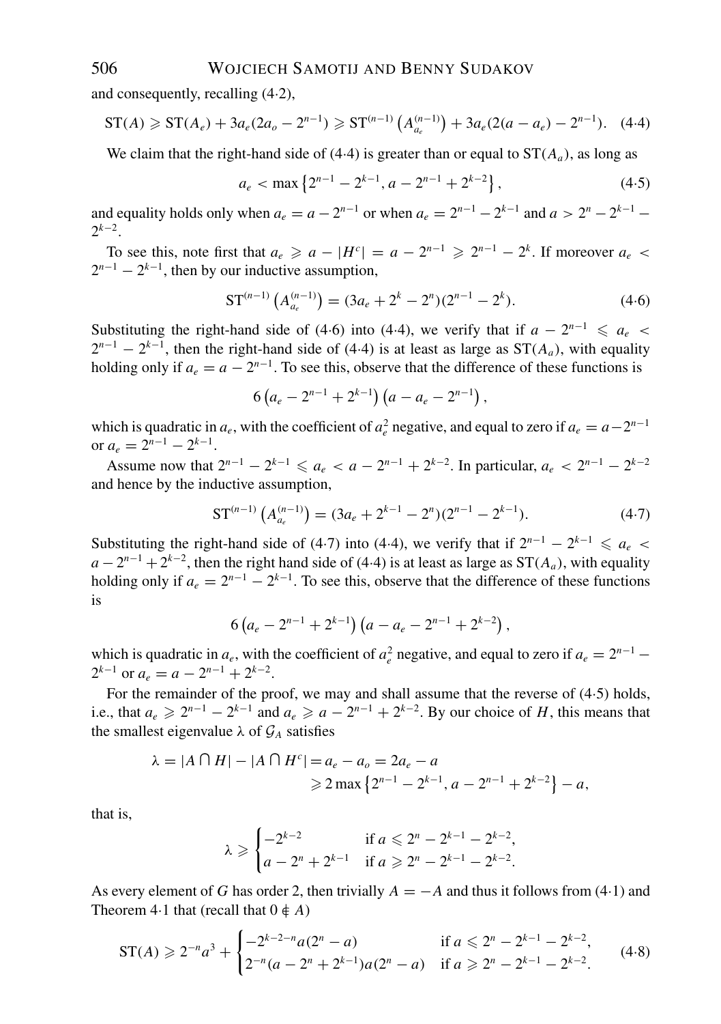and consequently, recalling (4·2),

$$
ST(A) \geqslant ST(A_e) + 3a_e(2a_o - 2^{n-1}) \geqslant ST^{(n-1)}\left(A_{a_e}^{(n-1)}\right) + 3a_e(2(a - a_e) - 2^{n-1}). \tag{4.4}
$$

We claim that the right-hand side of  $(4.4)$  is greater than or equal to  $ST(A_a)$ , as long as

$$
a_e < \max\left\{2^{n-1} - 2^{k-1}, a - 2^{n-1} + 2^{k-2}\right\},\tag{4.5}
$$

and equality holds only when  $a_e = a - 2^{n-1}$  or when  $a_e = 2^{n-1} - 2^{k-1}$  and  $a > 2^n - 2^{k-1}$  $2<sup>k−2</sup>$ .

To see this, note first that  $a_e \geq a - |H^c| = a - 2^{n-1} \geq 2^{n-1} - 2^k$ . If moreover  $a_e$  $2^{n-1} - 2^{k-1}$ , then by our inductive assumption,

$$
ST^{(n-1)}\left(A_{a_e}^{(n-1)}\right) = (3a_e + 2^k - 2^n)(2^{n-1} - 2^k). \tag{4.6}
$$

Substituting the right-hand side of (4·6) into (4·4), we verify that if  $a - 2^{n-1} \le a_e$  $2^{n-1} - 2^{k-1}$ , then the right-hand side of (4·4) is at least as large as ST( $A_a$ ), with equality holding only if  $a_e = a - 2^{n-1}$ . To see this, observe that the difference of these functions is

$$
6\left(a_e-2^{n-1}+2^{k-1}\right)\left(a-a_e-2^{n-1}\right),\,
$$

which is quadratic in  $a_e$ , with the coefficient of  $a_e^2$  negative, and equal to zero if  $a_e = a - 2^{n-1}$ or  $a_e = 2^{n-1} - 2^{k-1}$ .

Assume now that  $2^{n-1} - 2^{k-1} \le a_e < a - 2^{n-1} + 2^{k-2}$ . In particular,  $a_e < 2^{n-1} - 2^{k-2}$ and hence by the inductive assumption,

$$
\mathbf{ST}^{(n-1)}\left(A_{a_e}^{(n-1)}\right) = (3a_e + 2^{k-1} - 2^n)(2^{n-1} - 2^{k-1}).\tag{4-7}
$$

Substituting the right-hand side of (4·7) into (4·4), we verify that if  $2^{n-1} - 2^{k-1} \le a_e$  $a - 2^{n-1} + 2^{k-2}$ , then the right hand side of (4·4) is at least as large as  $ST(A_a)$ , with equality holding only if  $a_e = 2^{n-1} - 2^{k-1}$ . To see this, observe that the difference of these functions is

$$
6\left(a_e-2^{n-1}+2^{k-1}\right)\left(a-a_e-2^{n-1}+2^{k-2}\right),\,
$$

which is quadratic in  $a_e$ , with the coefficient of  $a_e^2$  negative, and equal to zero if  $a_e = 2^{n-1}$  $2^{k-1}$  or  $a_e = a - 2^{n-1} + 2^{k-2}$ .

For the remainder of the proof, we may and shall assume that the reverse of  $(4.5)$  holds, i.e., that  $a_e \ge 2^{n-1} - 2^{k-1}$  and  $a_e \ge a - 2^{n-1} + 2^{k-2}$ . By our choice of *H*, this means that the smallest eigenvalue  $\lambda$  of  $\mathcal{G}_A$  satisfies

$$
\lambda = |A \cap H| - |A \cap H^c| = a_e - a_o = 2a_e - a
$$
  
\n
$$
\ge 2 \max \{ 2^{n-1} - 2^{k-1}, a - 2^{n-1} + 2^{k-2} \} - a,
$$

that is,

$$
\lambda \geqslant \begin{cases}\n-2^{k-2} & \text{if } a \leqslant 2^n - 2^{k-1} - 2^{k-2}, \\
a - 2^n + 2^{k-1} & \text{if } a \geqslant 2^n - 2^{k-1} - 2^{k-2}.\n\end{cases}
$$

As every element of *G* has order 2, then trivially  $A = -A$  and thus it follows from (4·1) and Theorem 4.1 that (recall that  $0 \notin A$ )

$$
ST(A) \geqslant 2^{-n} a^3 + \begin{cases} -2^{k-2-n} a(2^n - a) & \text{if } a \leqslant 2^n - 2^{k-1} - 2^{k-2}, \\ 2^{-n} (a - 2^n + 2^{k-1}) a(2^n - a) & \text{if } a \geqslant 2^n - 2^{k-1} - 2^{k-2}. \end{cases} \tag{4-8}
$$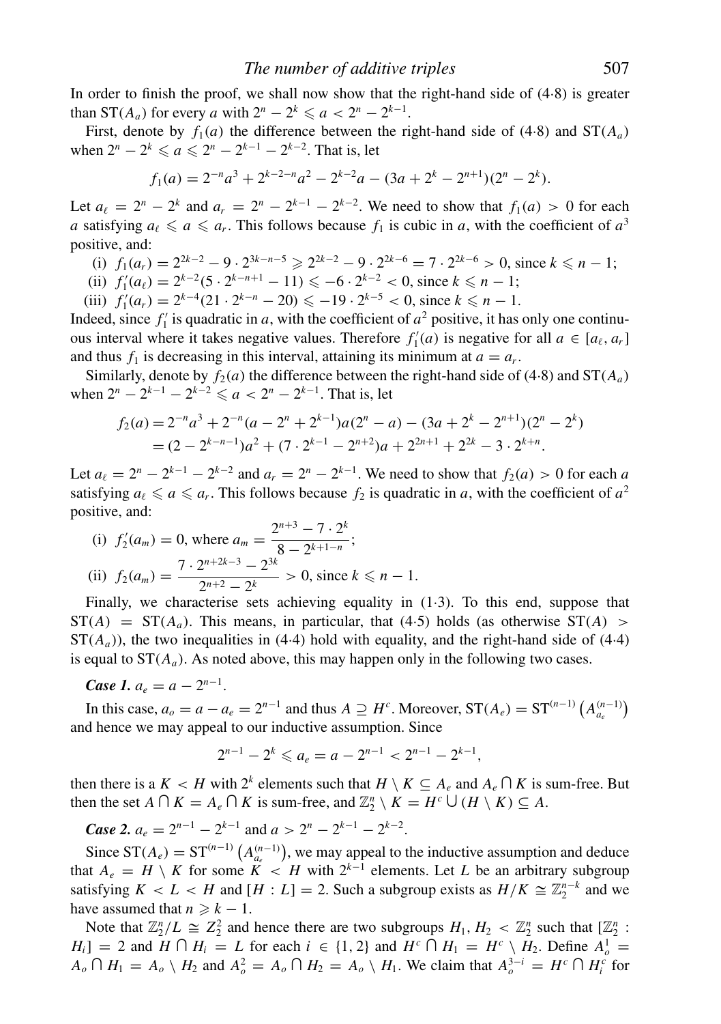In order to finish the proof, we shall now show that the right-hand side of  $(4.8)$  is greater than  $ST(A_a)$  for every *a* with  $2^n - 2^k \le a < 2^n - 2^{k-1}$ .

First, denote by  $f_1(a)$  the difference between the right-hand side of (4.8) and  $ST(A_a)$ when  $2^n - 2^k \le a \le 2^n - 2^{k-1} - 2^{k-2}$ . That is, let

$$
f_1(a) = 2^{-n}a^3 + 2^{k-2-n}a^2 - 2^{k-2}a - (3a + 2^k - 2^{n+1})(2^n - 2^k).
$$

Let  $a_{\ell} = 2^{n} - 2^{k}$  and  $a_{r} = 2^{n} - 2^{k-1} - 2^{k-2}$ . We need to show that  $f_1(a) > 0$  for each *a* satisfying  $a_{\ell} \le a \le a_r$ . This follows because  $f_1$  is cubic in *a*, with the coefficient of  $a^3$ positive, and:

(i) 
$$
f_1(a_r) = 2^{2k-2} - 9 \cdot 2^{3k-n-5} \ge 2^{2k-2} - 9 \cdot 2^{2k-6} = 7 \cdot 2^{2k-6} > 0
$$
, since  $k \le n-1$ ;

(ii) 
$$
f'_1(a_\ell) = 2^{k-2}(5 \cdot 2^{k-n+1} - 11) \le -6 \cdot 2^{k-2} < 0
$$
, since  $k \le n-1$ ;

(iii)  $f'_1(a_r) = 2^{k-4}(21 \cdot 2^{k-n} - 20) \le -19 \cdot 2^{k-5} < 0$ , since  $k \le n - 1$ .

Indeed, since  $f'_1$  is quadratic in *a*, with the coefficient of  $a^2$  positive, it has only one continuous interval where it takes negative values. Therefore  $f'_{1}(a)$  is negative for all  $a \in [a_{\ell}, a_{r}]$ and thus  $f_1$  is decreasing in this interval, attaining its minimum at  $a = a_r$ .

Similarly, denote by  $f_2(a)$  the difference between the right-hand side of (4.8) and  $ST(A_a)$ when  $2^{n} - 2^{k-1} - 2^{k-2} \le a < 2^{n} - 2^{k-1}$ . That is, let

$$
f_2(a) = 2^{-n}a^3 + 2^{-n}(a - 2^n + 2^{k-1})a(2^n - a) - (3a + 2^k - 2^{n+1})(2^n - 2^k)
$$
  
=  $(2 - 2^{k-n-1})a^2 + (7 \cdot 2^{k-1} - 2^{n+2})a + 2^{2n+1} + 2^{2k} - 3 \cdot 2^{k+n}.$ 

Let  $a_{\ell} = 2^{n} - 2^{k-1} - 2^{k-2}$  and  $a_{r} = 2^{n} - 2^{k-1}$ . We need to show that  $f_2(a) > 0$  for each *a* satisfying  $a_{\ell} \le a \le a_r$ . This follows because  $f_2$  is quadratic in *a*, with the coefficient of  $a^2$ positive, and:

(i) 
$$
f'_2(a_m) = 0
$$
, where  $a_m = \frac{2^{n+3} - 7 \cdot 2^k}{8 - 2^{k+1-n}}$ ;  
\n(ii)  $f_2(a_m) = \frac{7 \cdot 2^{n+2k-3} - 2^{3k}}{2^{n+2} - 2^k} > 0$ , since  $k \le n - 1$ .

Finally, we characterise sets achieving equality in (1·3). To this end, suppose that  $ST(A) = ST(A_a)$ . This means, in particular, that (4.5) holds (as otherwise  $ST(A) >$  $ST(A<sub>a</sub>)$ , the two inequalities in (4.4) hold with equality, and the right-hand side of (4.4) is equal to  $ST(A_a)$ . As noted above, this may happen only in the following two cases.

*Case 1.*  $a_e = a - 2^{n-1}$ .

In this case,  $a_o = a - a_e = 2^{n-1}$  and thus  $A \supseteq H^c$ . Moreover,  $ST(A_e) = ST^{(n-1)} (A_{a_e}^{(n-1)})$ and hence we may appeal to our inductive assumption. Since

$$
2^{n-1} - 2^k \leqslant a_e = a - 2^{n-1} < 2^{n-1} - 2^{k-1},
$$

then there is a  $K < H$  with  $2^k$  elements such that  $H \setminus K \subseteq A_e$  and  $A_e \cap K$  is sum-free. But then the set  $A \cap K = A_e \cap K$  is sum-free, and  $\mathbb{Z}_2^n \setminus K = H^c \cup (H \setminus K) \subseteq A$ .

*Case 2.*  $a_e = 2^{n-1} - 2^{k-1}$  and  $a > 2^n - 2^{k-1} - 2^{k-2}$ .

Since  $ST(A_e) = ST^{(n-1)}(A_{a_e}^{(n-1)})$ , we may appeal to the inductive assumption and deduce that  $A_e = H \setminus K$  for some  $K < H$  with  $2^{k-1}$  elements. Let *L* be an arbitrary subgroup satisfying  $K < L < H$  and  $[H : L] = 2$ . Such a subgroup exists as  $H/K \cong \mathbb{Z}_2^{n-k}$  and we have assumed that  $n \geq k - 1$ .

Note that  $\mathbb{Z}_2^n/L \cong \mathbb{Z}_2^2$  and hence there are two subgroups  $H_1, H_2 < \mathbb{Z}_2^n$  such that  $[\mathbb{Z}_2^n]$ :  $H_i$ ] = 2 and  $H \cap H_i = L$  for each  $i \in \{1, 2\}$  and  $H^c \cap H_1 = H^c \setminus H_2$ . Define  $A_o^1 =$  $A_o \cap H_1 = A_o \setminus H_2$  and  $A_o^2 = A_o \cap H_2 = A_o \setminus H_1$ . We claim that  $A_o^{3-i} = H^c \cap H_i^c$  for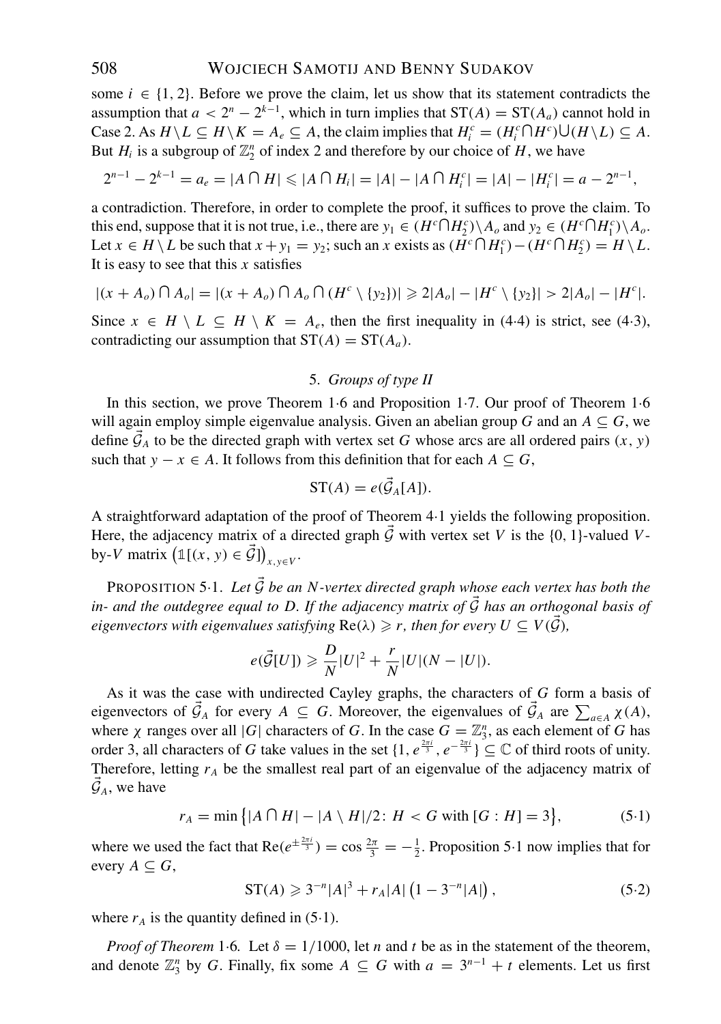some  $i \in \{1, 2\}$ . Before we prove the claim, let us show that its statement contradicts the assumption that  $a < 2^n - 2^{k-1}$ , which in turn implies that  $ST(A) = ST(A_a)$  cannot hold in Case 2. As  $H \setminus L \subseteq H \setminus K = A_e \subseteq A$ , the claim implies that  $H_i^c = (H_i^c \cap H^c) \cup (H \setminus L) \subseteq A$ . But  $H_i$  is a subgroup of  $\mathbb{Z}_2^n$  of index 2 and therefore by our choice of  $H$ , we have

$$
2^{n-1} - 2^{k-1} = a_e = |A \cap H| \leq |A \cap H_i| = |A| - |A \cap H_i^c| = |A| - |H_i^c| = a - 2^{n-1},
$$

a contradiction. Therefore, in order to complete the proof, it suffices to prove the claim. To this end, suppose that it is not true, i.e., there are  $y_1 \in (H^c \cap H_2^c) \setminus A_o$  and  $y_2 \in (H^c \cap H_1^c) \setminus A_o$ . Let  $x \in H \setminus L$  be such that  $x + y_1 = y_2$ ; such an  $x$  exists as  $(H^c \cap H_1^c) - (H^c \cap H_2^c) = H \setminus L$ . It is easy to see that this *x* satisfies

$$
|(x + A_o) \cap A_o| = |(x + A_o) \cap A_o \cap (H^c \setminus \{y_2\})| \ge 2|A_o| - |H^c \setminus \{y_2\}| > 2|A_o| - |H^c|.
$$

Since  $x \in H \setminus L \subseteq H \setminus K = A_e$ , then the first inequality in (4.4) is strict, see (4.3), contradicting our assumption that  $ST(A) = ST(A_a)$ .

#### 5. *Groups of type II*

In this section, we prove Theorem 1·6 and Proposition 1·7. Our proof of Theorem 1·6 will again employ simple eigenvalue analysis. Given an abelian group *G* and an  $A \subseteq G$ , we define  $\vec{\mathcal{G}}_A$  to be the directed graph with vertex set *G* whose arcs are all ordered pairs  $(x, y)$ such that  $y - x \in A$ . It follows from this definition that for each  $A \subseteq G$ ,

$$
ST(A) = e(\vec{\mathcal{G}}_A[A]).
$$

A straightforward adaptation of the proof of Theorem 4·1 yields the following proposition. Here, the adjacency matrix of a directed graph  $\vec{G}$  with vertex set *V* is the {0, 1}-valued *V*by-*V* matrix  $(\mathbb{1}[(x, y) \in \vec{\mathcal{G}}])_{x, y \in V}$ .

PROPOSITION 5.1. Let  $\vec{G}$  be an N-vertex directed graph whose each vertex has both the *in- and the outdegree equal to D. If the adjacency matrix of* <sup>G</sup> *has an orthogonal basis of eigenvectors with eigenvalues satisfying*  $Re(\lambda) \geqslant r$ , then for every  $U \subseteq V(\vec{\mathcal{G}})$ ,

$$
e(\vec{\mathcal{G}}[U]) \geq \frac{D}{N}|U|^2 + \frac{r}{N}|U|(N - |U|).
$$

As it was the case with undirected Cayley graphs, the characters of *G* form a basis of eigenvectors of  $\vec{\mathcal{G}}_A$  for every  $A \subseteq G$ . Moreover, the eigenvalues of  $\vec{\mathcal{G}}_A$  are  $\sum_{a \in A} \chi(A)$ , where  $\chi$  ranges over all |*G*| characters of *G*. In the case  $G = \mathbb{Z}_3^n$ , as each element of *G* has order 3, all characters of *G* take values in the set  $\{1, e^{\frac{2\pi i}{3}}, e^{-\frac{2\pi i}{3}}\} \subseteq \mathbb{C}$  of third roots of unity. Therefore, letting  $r_A$  be the smallest real part of an eigenvalue of the adjacency matrix of  $\mathcal{G}_A$ , we have

$$
r_A = \min\{|A \cap H| - |A \setminus H|/2 : H < G \text{ with } [G : H] = 3\},\tag{5.1}
$$

where we used the fact that  $\text{Re}(e^{\pm \frac{2\pi i}{3}}) = \cos \frac{2\pi}{3} = -\frac{1}{2}$ . Proposition 5.1 now implies that for every  $A \subseteq G$ ,

$$
ST(A) \geqslant 3^{-n} |A|^3 + r_A |A| \left( 1 - 3^{-n} |A| \right), \tag{5.2}
$$

where  $r_A$  is the quantity defined in  $(5.1)$ .

*Proof of Theorem* 1.6*.* Let  $\delta = 1/1000$ , let *n* and *t* be as in the statement of the theorem, and denote  $\mathbb{Z}_3^n$  by *G*. Finally, fix some  $A \subseteq G$  with  $a = 3^{n-1} + t$  elements. Let us first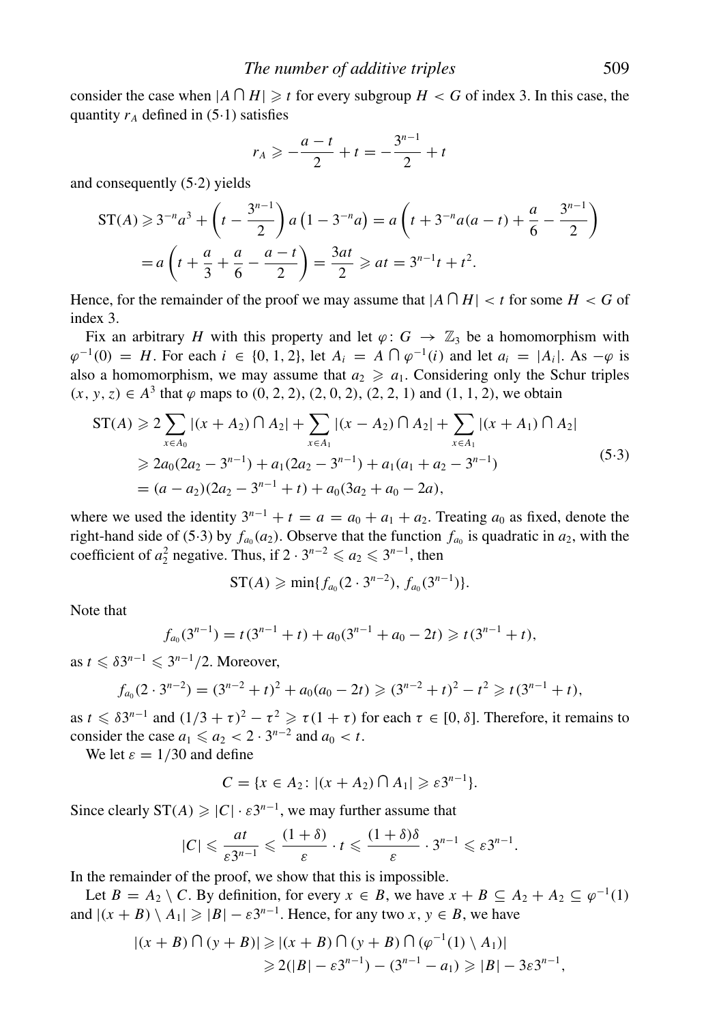consider the case when  $|A \cap H| \geq t$  for every subgroup  $H < G$  of index 3. In this case, the quantity  $r_A$  defined in  $(5.1)$  satisfies

$$
r_A \geqslant -\frac{a-t}{2} + t = -\frac{3^{n-1}}{2} + t
$$

and consequently (5·2) yields

$$
ST(A) \geqslant 3^{-n}a^3 + \left(t - \frac{3^{n-1}}{2}\right)a\left(1 - 3^{-n}a\right) = a\left(t + 3^{-n}a(a - t) + \frac{a}{6} - \frac{3^{n-1}}{2}\right)
$$

$$
= a\left(t + \frac{a}{3} + \frac{a}{6} - \frac{a - t}{2}\right) = \frac{3at}{2} \geqslant at = 3^{n-1}t + t^2.
$$

Hence, for the remainder of the proof we may assume that  $|A \cap H| < t$  for some  $H < G$  of index 3.

Fix an arbitrary *H* with this property and let  $\varphi$ :  $G \to \mathbb{Z}_3$  be a homomorphism with  $\varphi^{-1}(0) = H$ . For each  $i \in \{0, 1, 2\}$ , let  $A_i = A \cap \varphi^{-1}(i)$  and let  $a_i = |A_i|$ . As  $-\varphi$  is also a homomorphism, we may assume that  $a_2 \geq a_1$ . Considering only the Schur triples  $(x, y, z) \in A<sup>3</sup>$  that  $\varphi$  maps to  $(0, 2, 2), (2, 0, 2), (2, 2, 1)$  and  $(1, 1, 2)$ , we obtain

$$
ST(A) \geqslant 2 \sum_{x \in A_0} |(x + A_2) \cap A_2| + \sum_{x \in A_1} |(x - A_2) \cap A_2| + \sum_{x \in A_1} |(x + A_1) \cap A_2|
$$
  
\n
$$
\geqslant 2a_0(2a_2 - 3^{n-1}) + a_1(2a_2 - 3^{n-1}) + a_1(a_1 + a_2 - 3^{n-1})
$$
  
\n
$$
= (a - a_2)(2a_2 - 3^{n-1} + t) + a_0(3a_2 + a_0 - 2a),
$$
\n
$$
(5.3)
$$

where we used the identity  $3^{n-1} + t = a = a_0 + a_1 + a_2$ . Treating  $a_0$  as fixed, denote the right-hand side of (5.3) by  $f_{a_0}(a_2)$ . Observe that the function  $f_{a_0}$  is quadratic in  $a_2$ , with the coefficient of  $a_2^2$  negative. Thus, if  $2 \cdot 3^{n-2} \leq a_2 \leq 3^{n-1}$ , then

$$
\mathrm{ST}(A) \geqslant \min\{f_{a_0}(2\cdot 3^{n-2}),\,f_{a_0}(3^{n-1})\}.
$$

Note that

$$
f_{a_0}(3^{n-1}) = t(3^{n-1} + t) + a_0(3^{n-1} + a_0 - 2t) \geq t(3^{n-1} + t),
$$

as  $t \leq \delta 3^{n-1} \leq 3^{n-1}/2$ . Moreover,

$$
f_{a_0}(2\cdot3^{n-2})=(3^{n-2}+t)^2+a_0(a_0-2t)\geqslant(3^{n-2}+t)^2-t^2\geqslant t(3^{n-1}+t),
$$

as  $t \le \delta 3^{n-1}$  and  $(1/3 + \tau)^2 - \tau^2 \ge \tau (1 + \tau)$  for each  $\tau \in [0, \delta]$ . Therefore, it remains to consider the case  $a_1 \leq a_2 < 2 \cdot 3^{n-2}$  and  $a_0 < t$ .

We let  $\varepsilon = 1/30$  and define

 $C = \{x \in A_2 : |(x + A_2) \cap A_1| \geq \varepsilon 3^{n-1}\}.$ 

Since clearly  $ST(A) \geq |C| \cdot \varepsilon 3^{n-1}$ , we may further assume that

$$
|C| \leqslant \frac{at}{\varepsilon 3^{n-1}} \leqslant \frac{(1+\delta)}{\varepsilon} \cdot t \leqslant \frac{(1+\delta)\delta}{\varepsilon} \cdot 3^{n-1} \leqslant \varepsilon 3^{n-1}.
$$

In the remainder of the proof, we show that this is impossible.

Let  $B = A_2 \setminus C$ . By definition, for every  $x \in B$ , we have  $x + B \subseteq A_2 + A_2 \subseteq \varphi^{-1}(1)$ and  $|(x + B) \setminus A_1| \geq |B| - \varepsilon 3^{n-1}$ . Hence, for any two *x*,  $y \in B$ , we have

$$
|(x + B) \cap (y + B)| \ge |(x + B) \cap (y + B) \cap (\varphi^{-1}(1) \setminus A_1)|
$$
  
 $\ge 2(|B| - \varepsilon 3^{n-1}) - (3^{n-1} - a_1) \ge |B| - 3\varepsilon 3^{n-1},$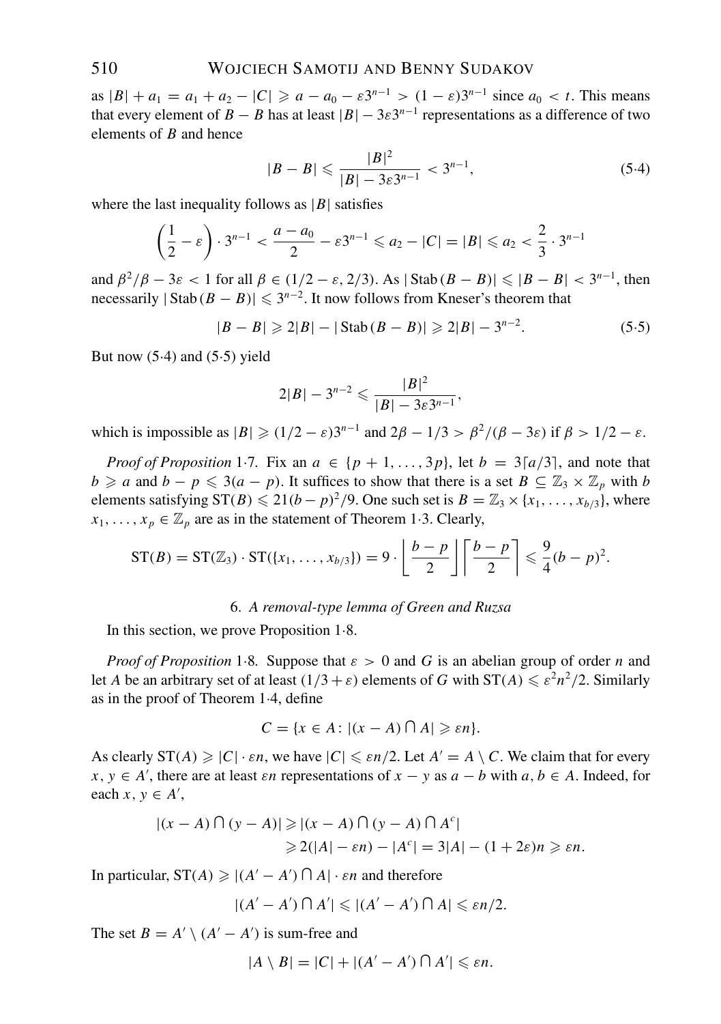as  $|B| + a_1 = a_1 + a_2 - |C| \ge a - a_0 - \varepsilon 3^{n-1} > (1 - \varepsilon) 3^{n-1}$  since  $a_0 < t$ . This means that every element of *B* − *B* has at least  $|B| - 3\varepsilon 3^{n-1}$  representations as a difference of two elements of *B* and hence

$$
|B - B| \leqslant \frac{|B|^2}{|B| - 3\varepsilon 3^{n-1}} < 3^{n-1},\tag{5.4}
$$

where the last inequality follows as  $|B|$  satisfies

$$
\left(\frac{1}{2}-\varepsilon\right)\cdot 3^{n-1} < \frac{a-a_0}{2} - \varepsilon 3^{n-1} \leqslant a_2 - |C| = |B| \leqslant a_2 < \frac{2}{3} \cdot 3^{n-1}
$$

and  $\beta^2/\beta - 3\varepsilon < 1$  for all  $\beta \in (1/2 - \varepsilon, 2/3)$ . As  $|\text{Stab}(B - B)| \leq |B - B| < 3^{n-1}$ , then necessarily  $|\text{Stab}(B - B)| \leq 3^{n-2}$ . It now follows from Kneser's theorem that

$$
|B - B| \geq 2|B| - |\operatorname{Stab}(B - B)| \geq 2|B| - 3^{n-2}.
$$
 (5.5)

But now  $(5.4)$  and  $(5.5)$  yield

$$
2|B|-3^{n-2}\leqslant \frac{|B|^2}{|B|-3\varepsilon 3^{n-1}},
$$

which is impossible as  $|B| \geq (1/2 - \varepsilon)3^{n-1}$  and  $2\beta - 1/3 > \beta^2/(\beta - 3\varepsilon)$  if  $\beta > 1/2 - \varepsilon$ .

*Proof of Proposition* 1.7. Fix an  $a \in \{p+1, ..., 3p\}$ , let  $b = 3\lceil a/3 \rceil$ , and note that *b* ≥ *a* and *b* − *p*  $\leq$  3(*a* − *p*). It suffices to show that there is a set *B* ⊆  $\mathbb{Z}_3 \times \mathbb{Z}_p$  with *b* elements satisfying  $ST(B) \le 21(b - p)^2/9$ . One such set is  $B = \mathbb{Z}_3 \times \{x_1, \ldots, x_{b/3}\}\)$ , where  $x_1, \ldots, x_p \in \mathbb{Z}_p$  are as in the statement of Theorem 1.3. Clearly,

$$
ST(B) = ST(\mathbb{Z}_3) \cdot ST(\lbrace x_1,\ldots,x_{b/3}\rbrace) = 9 \cdot \left\lfloor \frac{b-p}{2} \right\rfloor \left\lceil \frac{b-p}{2} \right\rceil \leq \frac{9}{4}(b-p)^2.
$$

#### 6. *A removal-type lemma of Green and Ruzsa*

In this section, we prove Proposition 1·8.

*Proof of Proposition* 1.8. Suppose that  $\varepsilon > 0$  and G is an abelian group of order *n* and let *A* be an arbitrary set of at least  $(1/3 + \varepsilon)$  elements of *G* with  $ST(A) \leq \varepsilon^2 n^2/2$ . Similarly as in the proof of Theorem 1·4, define

$$
C = \{x \in A : |(x - A) \cap A| \geq \varepsilon n\}.
$$

As clearly  $ST(A) \geq |C| \cdot \varepsilon n$ , we have  $|C| \leq \varepsilon n/2$ . Let  $A' = A \setminus C$ . We claim that for every  $x, y \in A'$ , there are at least  $\varepsilon n$  representations of  $x - y$  as  $a - b$  with  $a, b \in A$ . Indeed, for each  $x, y \in A'$ ,

$$
|(x - A) \cap (y - A)| \ge |(x - A) \cap (y - A) \cap A^c|
$$
  
\n
$$
\ge 2(|A| - \varepsilon n) - |A^c| = 3|A| - (1 + 2\varepsilon)n \ge \varepsilon n.
$$

In particular,  $ST(A) \geq |(A' - A') \cap A| \cdot \varepsilon n$  and therefore

$$
|(A'-A')\cap A'|\leqslant |(A'-A')\cap A|\leqslant \varepsilon n/2.
$$

The set  $B = A' \setminus (A' - A')$  is sum-free and

$$
|A \setminus B| = |C| + |(A' - A') \cap A'| \leq \varepsilon n.
$$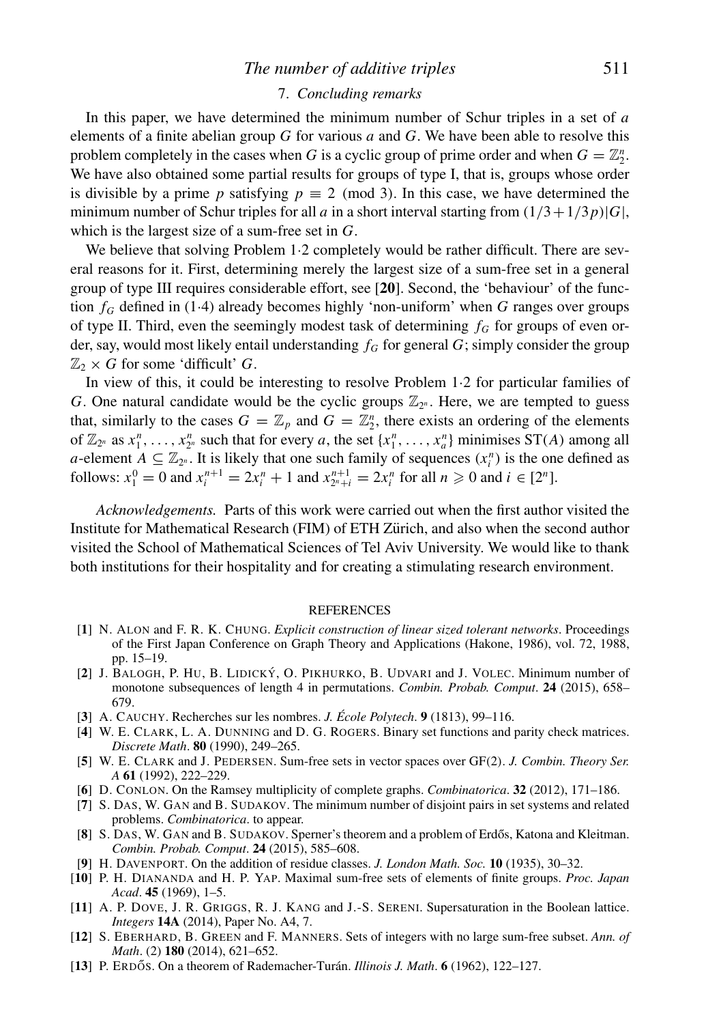## *The number of additive triples* 511

#### 7. *Concluding remarks*

In this paper, we have determined the minimum number of Schur triples in a set of *a* elements of a finite abelian group *G* for various *a* and *G*. We have been able to resolve this problem completely in the cases when *G* is a cyclic group of prime order and when  $G = \mathbb{Z}_2^n$ . We have also obtained some partial results for groups of type I, that is, groups whose order is divisible by a prime *p* satisfying  $p \equiv 2 \pmod{3}$ . In this case, we have determined the minimum number of Schur triples for all *a* in a short interval starting from  $(1/3+1/3p)|G|$ , which is the largest size of a sum-free set in *G*.

We believe that solving Problem 1·2 completely would be rather difficult. There are several reasons for it. First, determining merely the largest size of a sum-free set in a general group of type III requires considerable effort, see [**20**]. Second, the 'behaviour' of the function  $f_G$  defined in (1.4) already becomes highly 'non-uniform' when  $G$  ranges over groups of type II. Third, even the seemingly modest task of determining  $f_G$  for groups of even order, say, would most likely entail understanding  $f_G$  for general  $G$ ; simply consider the group  $\mathbb{Z}_2 \times G$  for some 'difficult' *G*.

In view of this, it could be interesting to resolve Problem 1·2 for particular families of *G*. One natural candidate would be the cyclic groups  $\mathbb{Z}_{2^n}$ . Here, we are tempted to guess that, similarly to the cases  $G = \mathbb{Z}_p$  and  $G = \mathbb{Z}_2^n$ , there exists an ordering of the elements of  $\mathbb{Z}_{2^n}$  as  $x_1^n, \ldots, x_{2^n}^n$  such that for every *a*, the set  $\{x_1^n, \ldots, x_a^n\}$  minimises  $ST(A)$  among all *a*-element  $A \subseteq \mathbb{Z}_{2^n}$ . It is likely that one such family of sequences  $(x_i^n)$  is the one defined as follows:  $x_1^0 = 0$  and  $x_i^{n+1} = 2x_i^n + 1$  and  $x_{2^n+i}^{n+1} = 2x_i^n$  for all  $n \ge 0$  and  $i \in [2^n]$ .

*Acknowledgements.* Parts of this work were carried out when the first author visited the Institute for Mathematical Research (FIM) of ETH Zürich, and also when the second author visited the School of Mathematical Sciences of Tel Aviv University. We would like to thank both institutions for their hospitality and for creating a stimulating research environment.

#### REFERENCES

- [**1**] N. ALON and F. R. K. CHUNG. *Explicit construction of linear sized tolerant networks*. Proceedings of the First Japan Conference on Graph Theory and Applications (Hakone, 1986), vol. 72, 1988, pp. 15–19.
- [**2**] J. BALOGH, P. HU, B. LIDICKY´ , O. PIKHURKO, B. UDVARI and J. VOLEC. Minimum number of monotone subsequences of length 4 in permutations. *Combin. Probab. Comput*. **24** (2015), 658– 679.
- [**3**] A. CAUCHY. Recherches sur les nombres. *J. Ecole Polytech ´* . **9** (1813), 99–116.
- [**4**] W. E. CLARK, L. A. DUNNING and D. G. ROGERS. Binary set functions and parity check matrices. *Discrete Math*. **80** (1990), 249–265.
- [**5**] W. E. CLARK and J. PEDERSEN. Sum-free sets in vector spaces over GF(2). *J. Combin. Theory Ser. A* **61** (1992), 222–229.
- [**6**] D. CONLON. On the Ramsey multiplicity of complete graphs. *Combinatorica*. **32** (2012), 171–186.
- [**7**] S. DAS, W. GAN and B. SUDAKOV. The minimum number of disjoint pairs in set systems and related problems. *Combinatorica*. to appear.
- [8] S. DAS, W. GAN and B. SUDAKOV. Sperner's theorem and a problem of Erdős, Katona and Kleitman. *Combin. Probab. Comput*. **24** (2015), 585–608.
- [**9**] H. DAVENPORT. On the addition of residue classes. *J. London Math. Soc.* **10** (1935), 30–32.
- [**10**] P. H. DIANANDA and H. P. YAP. Maximal sum-free sets of elements of finite groups. *Proc. Japan Acad*. **45** (1969), 1–5.
- [**11**] A. P. DOVE, J. R. GRIGGS, R. J. KANG and J.-S. SERENI. Supersaturation in the Boolean lattice. *Integers* **14A** (2014), Paper No. A4, 7.
- [**12**] S. EBERHARD, B. GREEN and F. MANNERS. Sets of integers with no large sum-free subset. *Ann. of Math*. (2) **180** (2014), 621–652.
- [**13**] P. ERDŐS. On a theorem of Rademacher-Turán. *Illinois J. Math.* **6** (1962), 122–127.